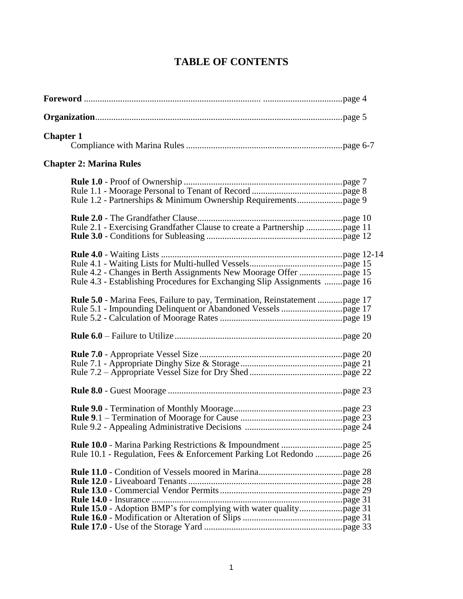# **TABLE OF CONTENTS**

| <b>Chapter 1</b>                                                                                                                                |  |
|-------------------------------------------------------------------------------------------------------------------------------------------------|--|
| <b>Chapter 2: Marina Rules</b>                                                                                                                  |  |
|                                                                                                                                                 |  |
| Rule 2.1 - Exercising Grandfather Clause to create a Partnership page 11                                                                        |  |
| Rule 4.2 - Changes in Berth Assignments New Moorage Offer page 15<br>Rule 4.3 - Establishing Procedures for Exchanging Slip Assignments page 16 |  |
| Rule 5.0 - Marina Fees, Failure to pay, Termination, Reinstatement page 17                                                                      |  |
|                                                                                                                                                 |  |
|                                                                                                                                                 |  |
|                                                                                                                                                 |  |
|                                                                                                                                                 |  |
| Rule 10.1 - Regulation, Fees & Enforcement Parking Lot Redondo  page 26                                                                         |  |
|                                                                                                                                                 |  |
|                                                                                                                                                 |  |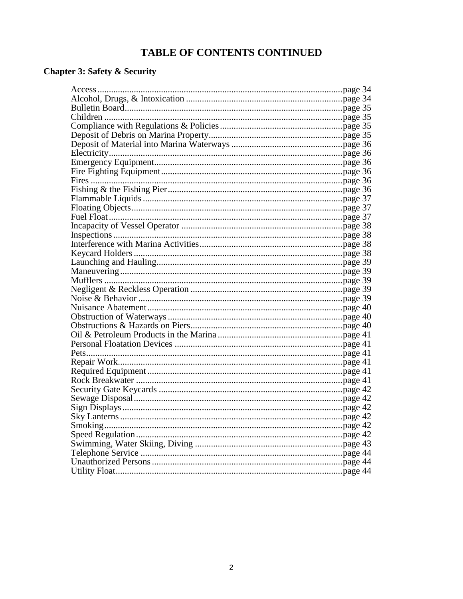# TABLE OF CONTENTS CONTINUED

# **Chapter 3: Safety & Security**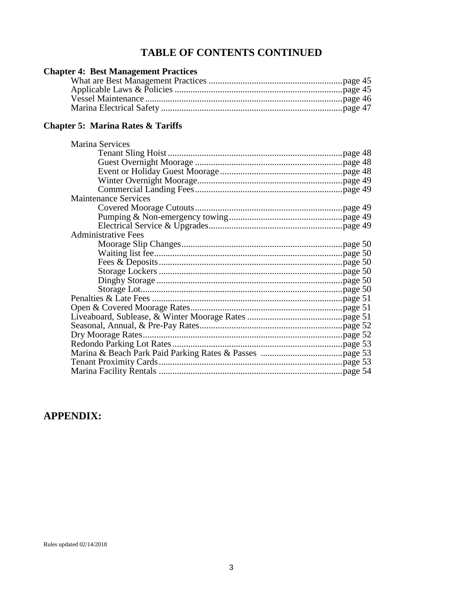# **TABLE OF CONTENTS CONTINUED**

| <b>Chapter 4: Best Management Practices</b> |  |
|---------------------------------------------|--|
|                                             |  |
|                                             |  |
|                                             |  |
|                                             |  |

# **Chapter 5: Marina Rates & Tariffs**

| Marina Services             |  |
|-----------------------------|--|
|                             |  |
|                             |  |
|                             |  |
|                             |  |
|                             |  |
| <b>Maintenance Services</b> |  |
|                             |  |
|                             |  |
|                             |  |
| <b>Administrative Fees</b>  |  |
|                             |  |
|                             |  |
|                             |  |
|                             |  |
|                             |  |
|                             |  |
|                             |  |
|                             |  |
|                             |  |
|                             |  |
|                             |  |
|                             |  |
|                             |  |
|                             |  |
|                             |  |

# **APPENDIX:**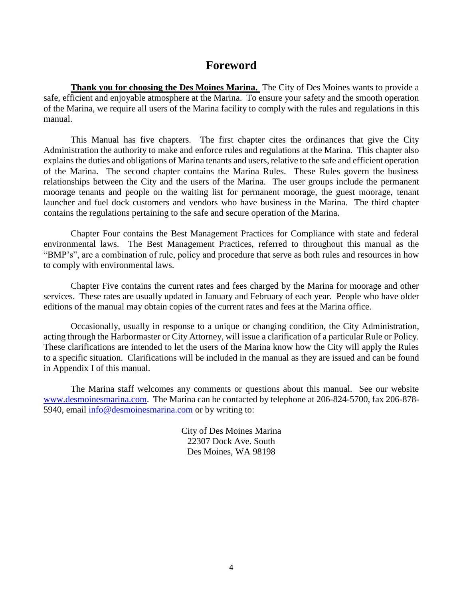# **Foreword**

**Thank you for choosing the Des Moines Marina.** The City of Des Moines wants to provide a safe, efficient and enjoyable atmosphere at the Marina. To ensure your safety and the smooth operation of the Marina, we require all users of the Marina facility to comply with the rules and regulations in this manual.

This Manual has five chapters. The first chapter cites the ordinances that give the City Administration the authority to make and enforce rules and regulations at the Marina. This chapter also explains the duties and obligations of Marina tenants and users, relative to the safe and efficient operation of the Marina. The second chapter contains the Marina Rules. These Rules govern the business relationships between the City and the users of the Marina. The user groups include the permanent moorage tenants and people on the waiting list for permanent moorage, the guest moorage, tenant launcher and fuel dock customers and vendors who have business in the Marina. The third chapter contains the regulations pertaining to the safe and secure operation of the Marina.

Chapter Four contains the Best Management Practices for Compliance with state and federal environmental laws. The Best Management Practices, referred to throughout this manual as the "BMP's", are a combination of rule, policy and procedure that serve as both rules and resources in how to comply with environmental laws.

Chapter Five contains the current rates and fees charged by the Marina for moorage and other services. These rates are usually updated in January and February of each year. People who have older editions of the manual may obtain copies of the current rates and fees at the Marina office.

Occasionally, usually in response to a unique or changing condition, the City Administration, acting through the Harbormaster or City Attorney, will issue a clarification of a particular Rule or Policy. These clarifications are intended to let the users of the Marina know how the City will apply the Rules to a specific situation. Clarifications will be included in the manual as they are issued and can be found in Appendix I of this manual.

The Marina staff welcomes any comments or questions about this manual. See our website [www.desmoinesmarina.com.](http://www.desmoinesmarina.com/) The Marina can be contacted by telephone at 206-824-5700, fax 206-878- 5940, email [info@desmoinesmarina.com](mailto:info@desmoinesmarina.com) or by writing to:

> City of Des Moines Marina 22307 Dock Ave. South Des Moines, WA 98198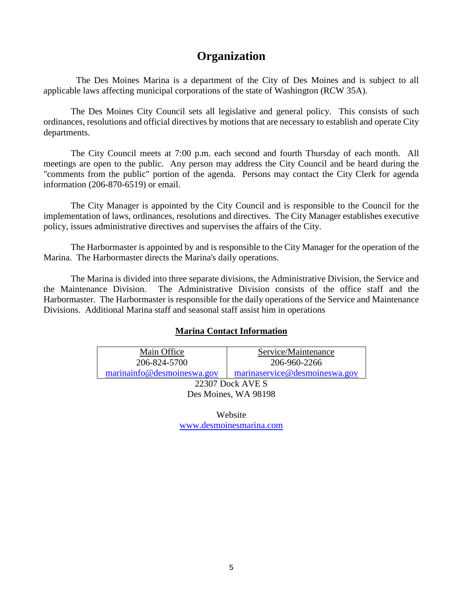# **Organization**

The Des Moines Marina is a department of the City of Des Moines and is subject to all applicable laws affecting municipal corporations of the state of Washington (RCW 35A).

The Des Moines City Council sets all legislative and general policy. This consists of such ordinances, resolutions and official directives by motions that are necessary to establish and operate City departments.

The City Council meets at 7:00 p.m. each second and fourth Thursday of each month. All meetings are open to the public. Any person may address the City Council and be heard during the "comments from the public" portion of the agenda. Persons may contact the City Clerk for agenda information (206-870-6519) or email.

The City Manager is appointed by the City Council and is responsible to the Council for the implementation of laws, ordinances, resolutions and directives. The City Manager establishes executive policy, issues administrative directives and supervises the affairs of the City.

The Harbormaster is appointed by and is responsible to the City Manager for the operation of the Marina. The Harbormaster directs the Marina's daily operations.

The Marina is divided into three separate divisions, the Administrative Division, the Service and the Maintenance Division. The Administrative Division consists of the office staff and the Harbormaster. The Harbormaster is responsible for the daily operations of the Service and Maintenance Divisions. Additional Marina staff and seasonal staff assist him in operations

## **Marina Contact Information**

| Main Office                | Service/Maintenance           |  |  |
|----------------------------|-------------------------------|--|--|
| 206-824-5700               | 206-960-2266                  |  |  |
| marinainfo@desmoineswa.gov | marinaservice@desmoineswa.gov |  |  |
| 22307 Dock AVE S           |                               |  |  |
| Des Moines, WA 98198       |                               |  |  |

Website [www.desmoinesmarina.com](http://www.desmoinesmarina.com/)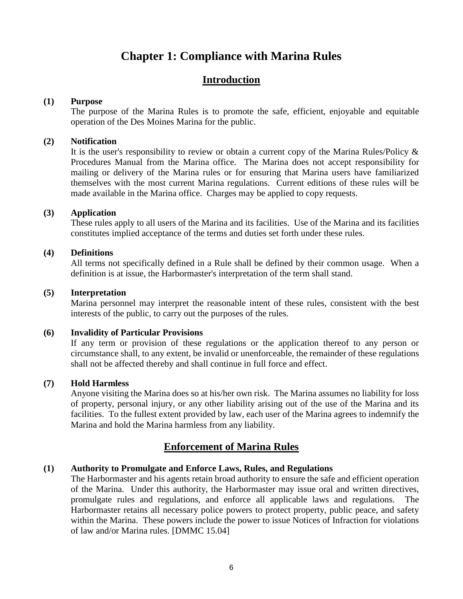# **Chapter 1: Compliance with Marina Rules**

# **Introduction**

### **(1) Purpose**

The purpose of the Marina Rules is to promote the safe, efficient, enjoyable and equitable operation of the Des Moines Marina for the public.

### **(2) Notification**

It is the user's responsibility to review or obtain a current copy of the Marina Rules/Policy  $\&$ Procedures Manual from the Marina office. The Marina does not accept responsibility for mailing or delivery of the Marina rules or for ensuring that Marina users have familiarized themselves with the most current Marina regulations. Current editions of these rules will be made available in the Marina office. Charges may be applied to copy requests.

## **(3) Application**

These rules apply to all users of the Marina and its facilities. Use of the Marina and its facilities constitutes implied acceptance of the terms and duties set forth under these rules.

### **(4) Definitions**

All terms not specifically defined in a Rule shall be defined by their common usage. When a definition is at issue, the Harbormaster's interpretation of the term shall stand.

### **(5) Interpretation**

Marina personnel may interpret the reasonable intent of these rules, consistent with the best interests of the public, to carry out the purposes of the rules.

## **(6) Invalidity of Particular Provisions**

If any term or provision of these regulations or the application thereof to any person or circumstance shall, to any extent, be invalid or unenforceable, the remainder of these regulations shall not be affected thereby and shall continue in full force and effect.

### **(7) Hold Harmless**

Anyone visiting the Marina does so at his/her own risk. The Marina assumes no liability for loss of property, personal injury, or any other liability arising out of the use of the Marina and its facilities. To the fullest extent provided by law, each user of the Marina agrees to indemnify the Marina and hold the Marina harmless from any liability.

# **Enforcement of Marina Rules**

## **(1) Authority to Promulgate and Enforce Laws, Rules, and Regulations**

The Harbormaster and his agents retain broad authority to ensure the safe and efficient operation of the Marina. Under this authority, the Harbormaster may issue oral and written directives, promulgate rules and regulations, and enforce all applicable laws and regulations. The Harbormaster retains all necessary police powers to protect property, public peace, and safety within the Marina. These powers include the power to issue Notices of Infraction for violations of law and/or Marina rules. [DMMC 15.04]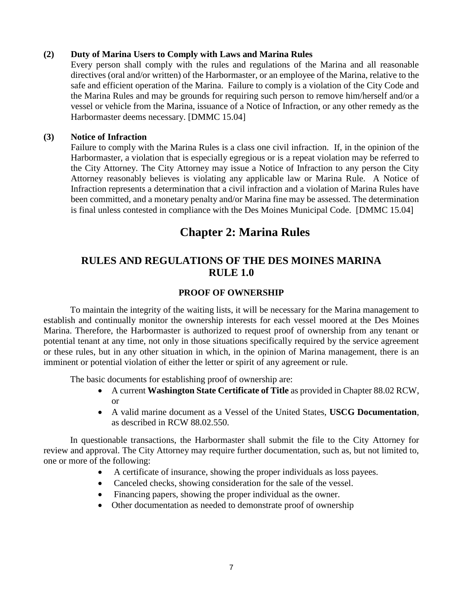# **(2) Duty of Marina Users to Comply with Laws and Marina Rules**

Every person shall comply with the rules and regulations of the Marina and all reasonable directives (oral and/or written) of the Harbormaster, or an employee of the Marina, relative to the safe and efficient operation of the Marina. Failure to comply is a violation of the City Code and the Marina Rules and may be grounds for requiring such person to remove him/herself and/or a vessel or vehicle from the Marina, issuance of a Notice of Infraction, or any other remedy as the Harbormaster deems necessary. [DMMC 15.04]

# **(3) Notice of Infraction**

Failure to comply with the Marina Rules is a class one civil infraction. If, in the opinion of the Harbormaster, a violation that is especially egregious or is a repeat violation may be referred to the City Attorney. The City Attorney may issue a Notice of Infraction to any person the City Attorney reasonably believes is violating any applicable law or Marina Rule. A Notice of Infraction represents a determination that a civil infraction and a violation of Marina Rules have been committed, and a monetary penalty and/or Marina fine may be assessed. The determination is final unless contested in compliance with the Des Moines Municipal Code. [DMMC 15.04]

# **Chapter 2: Marina Rules**

# **RULES AND REGULATIONS OF THE DES MOINES MARINA RULE 1.0**

# **PROOF OF OWNERSHIP**

To maintain the integrity of the waiting lists, it will be necessary for the Marina management to establish and continually monitor the ownership interests for each vessel moored at the Des Moines Marina. Therefore, the Harbormaster is authorized to request proof of ownership from any tenant or potential tenant at any time, not only in those situations specifically required by the service agreement or these rules, but in any other situation in which, in the opinion of Marina management, there is an imminent or potential violation of either the letter or spirit of any agreement or rule.

The basic documents for establishing proof of ownership are:

- A current **Washington State Certificate of Title** as provided in Chapter 88.02 RCW, or
- A valid marine document as a Vessel of the United States, **USCG Documentation**, as described in RCW 88.02.550.

In questionable transactions, the Harbormaster shall submit the file to the City Attorney for review and approval. The City Attorney may require further documentation, such as, but not limited to, one or more of the following:

- A certificate of insurance, showing the proper individuals as loss payees.
- Canceled checks, showing consideration for the sale of the vessel.
- Financing papers, showing the proper individual as the owner.
- Other documentation as needed to demonstrate proof of ownership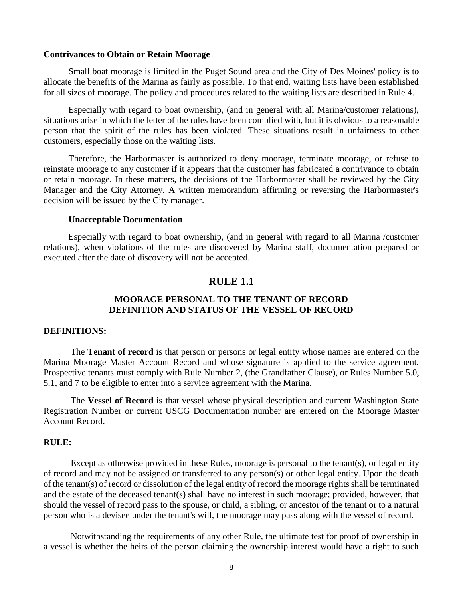#### **Contrivances to Obtain or Retain Moorage**

Small boat moorage is limited in the Puget Sound area and the City of Des Moines' policy is to allocate the benefits of the Marina as fairly as possible. To that end, waiting lists have been established for all sizes of moorage. The policy and procedures related to the waiting lists are described in Rule 4.

Especially with regard to boat ownership, (and in general with all Marina/customer relations), situations arise in which the letter of the rules have been complied with, but it is obvious to a reasonable person that the spirit of the rules has been violated. These situations result in unfairness to other customers, especially those on the waiting lists.

Therefore, the Harbormaster is authorized to deny moorage, terminate moorage, or refuse to reinstate moorage to any customer if it appears that the customer has fabricated a contrivance to obtain or retain moorage. In these matters, the decisions of the Harbormaster shall be reviewed by the City Manager and the City Attorney. A written memorandum affirming or reversing the Harbormaster's decision will be issued by the City manager.

#### **Unacceptable Documentation**

Especially with regard to boat ownership, (and in general with regard to all Marina /customer relations), when violations of the rules are discovered by Marina staff, documentation prepared or executed after the date of discovery will not be accepted.

# **RULE 1.1**

# **MOORAGE PERSONAL TO THE TENANT OF RECORD DEFINITION AND STATUS OF THE VESSEL OF RECORD**

#### **DEFINITIONS:**

The **Tenant of record** is that person or persons or legal entity whose names are entered on the Marina Moorage Master Account Record and whose signature is applied to the service agreement. Prospective tenants must comply with Rule Number 2, (the Grandfather Clause), or Rules Number 5.0, 5.1, and 7 to be eligible to enter into a service agreement with the Marina.

The **Vessel of Record** is that vessel whose physical description and current Washington State Registration Number or current USCG Documentation number are entered on the Moorage Master Account Record.

## **RULE:**

Except as otherwise provided in these Rules, moorage is personal to the tenant(s), or legal entity of record and may not be assigned or transferred to any person(s) or other legal entity. Upon the death of the tenant(s) of record or dissolution of the legal entity of record the moorage rights shall be terminated and the estate of the deceased tenant(s) shall have no interest in such moorage; provided, however, that should the vessel of record pass to the spouse, or child, a sibling, or ancestor of the tenant or to a natural person who is a devisee under the tenant's will, the moorage may pass along with the vessel of record.

Notwithstanding the requirements of any other Rule, the ultimate test for proof of ownership in a vessel is whether the heirs of the person claiming the ownership interest would have a right to such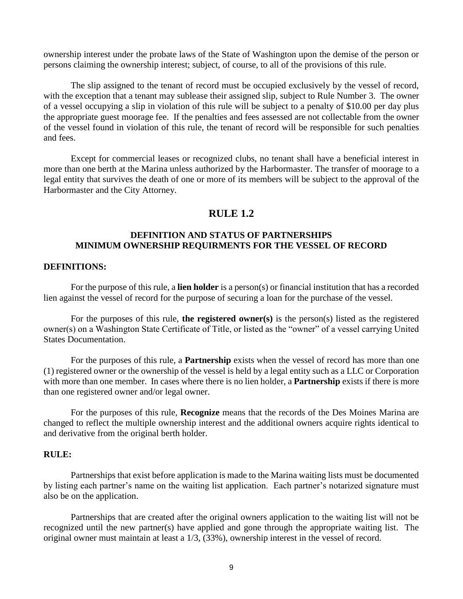ownership interest under the probate laws of the State of Washington upon the demise of the person or persons claiming the ownership interest; subject, of course, to all of the provisions of this rule.

The slip assigned to the tenant of record must be occupied exclusively by the vessel of record, with the exception that a tenant may sublease their assigned slip, subject to Rule Number 3. The owner of a vessel occupying a slip in violation of this rule will be subject to a penalty of \$10.00 per day plus the appropriate guest moorage fee. If the penalties and fees assessed are not collectable from the owner of the vessel found in violation of this rule, the tenant of record will be responsible for such penalties and fees.

Except for commercial leases or recognized clubs, no tenant shall have a beneficial interest in more than one berth at the Marina unless authorized by the Harbormaster. The transfer of moorage to a legal entity that survives the death of one or more of its members will be subject to the approval of the Harbormaster and the City Attorney.

# **RULE 1.2**

# **DEFINITION AND STATUS OF PARTNERSHIPS MINIMUM OWNERSHIP REQUIRMENTS FOR THE VESSEL OF RECORD**

### **DEFINITIONS:**

For the purpose of this rule, a **lien holder** is a person(s) or financial institution that has a recorded lien against the vessel of record for the purpose of securing a loan for the purchase of the vessel.

For the purposes of this rule, **the registered owner(s)** is the person(s) listed as the registered owner(s) on a Washington State Certificate of Title, or listed as the "owner" of a vessel carrying United States Documentation.

For the purposes of this rule, a **Partnership** exists when the vessel of record has more than one (1) registered owner or the ownership of the vessel is held by a legal entity such as a LLC or Corporation with more than one member. In cases where there is no lien holder, a **Partnership** exists if there is more than one registered owner and/or legal owner.

For the purposes of this rule, **Recognize** means that the records of the Des Moines Marina are changed to reflect the multiple ownership interest and the additional owners acquire rights identical to and derivative from the original berth holder.

## **RULE:**

Partnerships that exist before application is made to the Marina waiting lists must be documented by listing each partner's name on the waiting list application. Each partner's notarized signature must also be on the application.

Partnerships that are created after the original owners application to the waiting list will not be recognized until the new partner(s) have applied and gone through the appropriate waiting list. The original owner must maintain at least a 1/3, (33%), ownership interest in the vessel of record.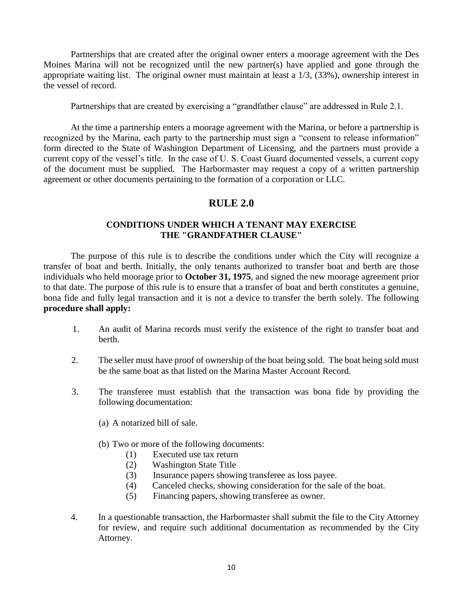Partnerships that are created after the original owner enters a moorage agreement with the Des Moines Marina will not be recognized until the new partner(s) have applied and gone through the appropriate waiting list. The original owner must maintain at least a 1/3, (33%), ownership interest in the vessel of record.

Partnerships that are created by exercising a "grandfather clause" are addressed in Rule 2.1.

At the time a partnership enters a moorage agreement with the Marina, or before a partnership is recognized by the Marina, each party to the partnership must sign a "consent to release information" form directed to the State of Washington Department of Licensing, and the partners must provide a current copy of the vessel's title. In the case of U. S. Coast Guard documented vessels, a current copy of the document must be supplied. The Harbormaster may request a copy of a written partnership agreement or other documents pertaining to the formation of a corporation or LLC.

# **RULE 2.0**

# **CONDITIONS UNDER WHICH A TENANT MAY EXERCISE THE "GRANDFATHER CLAUSE"**

The purpose of this rule is to describe the conditions under which the City will recognize a transfer of boat and berth. Initially, the only tenants authorized to transfer boat and berth are those individuals who held moorage prior to **October 31, 1975**, and signed the new moorage agreement prior to that date. The purpose of this rule is to ensure that a transfer of boat and berth constitutes a genuine, bona fide and fully legal transaction and it is not a device to transfer the berth solely. The following **procedure shall apply:**

- 1. An audit of Marina records must verify the existence of the right to transfer boat and berth.
- 2. The seller must have proof of ownership of the boat being sold. The boat being sold must be the same boat as that listed on the Marina Master Account Record.
- 3. The transferee must establish that the transaction was bona fide by providing the following documentation:
	- (a) A notarized bill of sale.
	- (b) Two or more of the following documents:
		- (1) Executed use tax return
		- (2) Washington State Title
		- (3) Insurance papers showing transferee as loss payee.
		- (4) Canceled checks, showing consideration for the sale of the boat.
		- (5) Financing papers, showing transferee as owner.
- 4. In a questionable transaction, the Harbormaster shall submit the file to the City Attorney for review, and require such additional documentation as recommended by the City Attorney.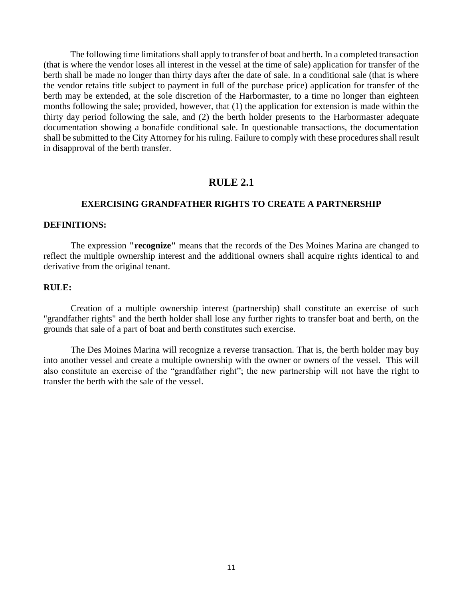The following time limitations shall apply to transfer of boat and berth. In a completed transaction (that is where the vendor loses all interest in the vessel at the time of sale) application for transfer of the berth shall be made no longer than thirty days after the date of sale. In a conditional sale (that is where the vendor retains title subject to payment in full of the purchase price) application for transfer of the berth may be extended, at the sole discretion of the Harbormaster, to a time no longer than eighteen months following the sale; provided, however, that (1) the application for extension is made within the thirty day period following the sale, and (2) the berth holder presents to the Harbormaster adequate documentation showing a bonafide conditional sale. In questionable transactions, the documentation shall be submitted to the City Attorney for his ruling. Failure to comply with these procedures shall result in disapproval of the berth transfer.

# **RULE 2.1**

### **EXERCISING GRANDFATHER RIGHTS TO CREATE A PARTNERSHIP**

#### **DEFINITIONS:**

The expression **"recognize"** means that the records of the Des Moines Marina are changed to reflect the multiple ownership interest and the additional owners shall acquire rights identical to and derivative from the original tenant.

### **RULE:**

Creation of a multiple ownership interest (partnership) shall constitute an exercise of such "grandfather rights" and the berth holder shall lose any further rights to transfer boat and berth, on the grounds that sale of a part of boat and berth constitutes such exercise.

The Des Moines Marina will recognize a reverse transaction. That is, the berth holder may buy into another vessel and create a multiple ownership with the owner or owners of the vessel. This will also constitute an exercise of the "grandfather right"; the new partnership will not have the right to transfer the berth with the sale of the vessel.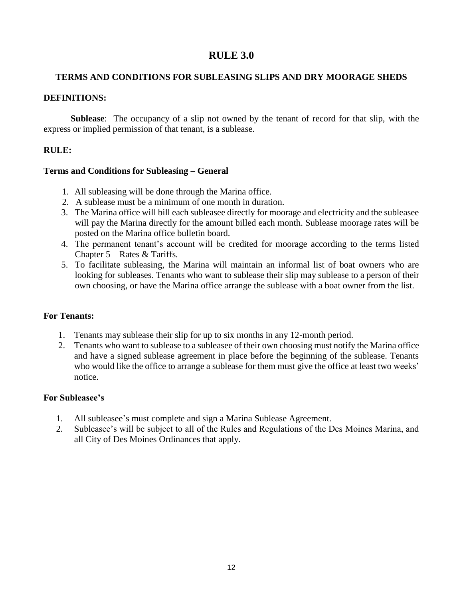# **RULE 3.0**

# **TERMS AND CONDITIONS FOR SUBLEASING SLIPS AND DRY MOORAGE SHEDS**

# **DEFINITIONS:**

**Sublease**: The occupancy of a slip not owned by the tenant of record for that slip, with the express or implied permission of that tenant, is a sublease.

# **RULE:**

## **Terms and Conditions for Subleasing – General**

- 1. All subleasing will be done through the Marina office.
- 2. A sublease must be a minimum of one month in duration.
- 3. The Marina office will bill each subleasee directly for moorage and electricity and the subleasee will pay the Marina directly for the amount billed each month. Sublease moorage rates will be posted on the Marina office bulletin board.
- 4. The permanent tenant's account will be credited for moorage according to the terms listed Chapter 5 – Rates & Tariffs*.*
- 5. To facilitate subleasing, the Marina will maintain an informal list of boat owners who are looking for subleases. Tenants who want to sublease their slip may sublease to a person of their own choosing, or have the Marina office arrange the sublease with a boat owner from the list.

# **For Tenants:**

- 1. Tenants may sublease their slip for up to six months in any 12-month period.
- 2. Tenants who want to sublease to a subleasee of their own choosing must notify the Marina office and have a signed sublease agreement in place before the beginning of the sublease. Tenants who would like the office to arrange a sublease for them must give the office at least two weeks' notice.

# **For Subleasee's**

- 1. All subleasee's must complete and sign a Marina Sublease Agreement.
- 2. Subleasee's will be subject to all of the Rules and Regulations of the Des Moines Marina, and all City of Des Moines Ordinances that apply.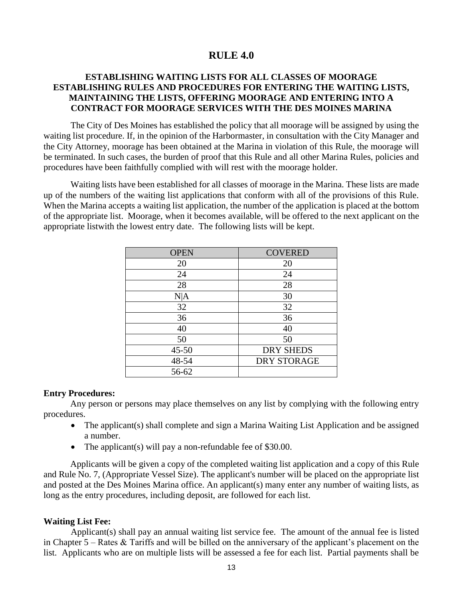# **RULE 4.0**

# **ESTABLISHING WAITING LISTS FOR ALL CLASSES OF MOORAGE ESTABLISHING RULES AND PROCEDURES FOR ENTERING THE WAITING LISTS, MAINTAINING THE LISTS, OFFERING MOORAGE AND ENTERING INTO A CONTRACT FOR MOORAGE SERVICES WITH THE DES MOINES MARINA**

The City of Des Moines has established the policy that all moorage will be assigned by using the waiting list procedure. If, in the opinion of the Harbormaster, in consultation with the City Manager and the City Attorney, moorage has been obtained at the Marina in violation of this Rule, the moorage will be terminated. In such cases, the burden of proof that this Rule and all other Marina Rules, policies and procedures have been faithfully complied with will rest with the moorage holder.

Waiting lists have been established for all classes of moorage in the Marina. These lists are made up of the numbers of the waiting list applications that conform with all of the provisions of this Rule. When the Marina accepts a waiting list application, the number of the application is placed at the bottom of the appropriate list. Moorage, when it becomes available, will be offered to the next applicant on the appropriate listwith the lowest entry date. The following lists will be kept.

| <b>OPEN</b> | <b>COVERED</b>     |  |
|-------------|--------------------|--|
| 20          | 20                 |  |
| 24          | 24                 |  |
| 28          | 28                 |  |
| N A         | 30                 |  |
| 32          | 32                 |  |
| 36          | 36                 |  |
| 40          | 40                 |  |
| 50          | 50                 |  |
| $45 - 50$   | <b>DRY SHEDS</b>   |  |
| 48-54       | <b>DRY STORAGE</b> |  |
| 56-62       |                    |  |

#### **Entry Procedures:**

Any person or persons may place themselves on any list by complying with the following entry procedures.

- The applicant(s) shall complete and sign a Marina Waiting List Application and be assigned a number.
- The applicant(s) will pay a non-refundable fee of \$30.00.

Applicants will be given a copy of the completed waiting list application and a copy of this Rule and Rule No. 7, (Appropriate Vessel Size). The applicant's number will be placed on the appropriate list and posted at the Des Moines Marina office. An applicant(s) many enter any number of waiting lists, as long as the entry procedures, including deposit, are followed for each list.

#### **Waiting List Fee:**

Applicant(s) shall pay an annual waiting list service fee*.* The amount of the annual fee is listed in Chapter 5 – Rates & Tariffs and will be billed on the anniversary of the applicant's placement on the list. Applicants who are on multiple lists will be assessed a fee for each list. Partial payments shall be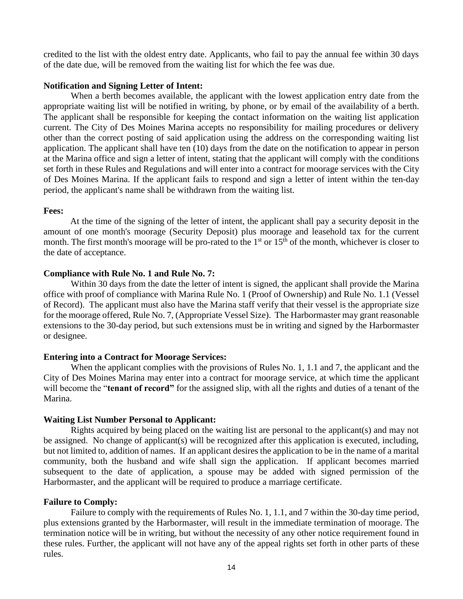credited to the list with the oldest entry date. Applicants, who fail to pay the annual fee within 30 days of the date due, will be removed from the waiting list for which the fee was due.

#### **Notification and Signing Letter of Intent:**

When a berth becomes available, the applicant with the lowest application entry date from the appropriate waiting list will be notified in writing, by phone, or by email of the availability of a berth. The applicant shall be responsible for keeping the contact information on the waiting list application current. The City of Des Moines Marina accepts no responsibility for mailing procedures or delivery other than the correct posting of said application using the address on the corresponding waiting list application. The applicant shall have ten (10) days from the date on the notification to appear in person at the Marina office and sign a letter of intent, stating that the applicant will comply with the conditions set forth in these Rules and Regulations and will enter into a contract for moorage services with the City of Des Moines Marina. If the applicant fails to respond and sign a letter of intent within the ten-day period, the applicant's name shall be withdrawn from the waiting list.

### **Fees:**

At the time of the signing of the letter of intent, the applicant shall pay a security deposit in the amount of one month's moorage (Security Deposit) plus moorage and leasehold tax for the current month. The first month's moorage will be pro-rated to the  $1<sup>st</sup>$  or  $15<sup>th</sup>$  of the month, whichever is closer to the date of acceptance.

### **Compliance with Rule No. 1 and Rule No. 7:**

Within 30 days from the date the letter of intent is signed, the applicant shall provide the Marina office with proof of compliance with Marina Rule No. 1 (Proof of Ownership) and Rule No. 1.1 (Vessel of Record). The applicant must also have the Marina staff verify that their vessel is the appropriate size for the moorage offered, Rule No. 7, (Appropriate Vessel Size). The Harbormaster may grant reasonable extensions to the 30-day period, but such extensions must be in writing and signed by the Harbormaster or designee.

## **Entering into a Contract for Moorage Services:**

When the applicant complies with the provisions of Rules No. 1, 1.1 and 7, the applicant and the City of Des Moines Marina may enter into a contract for moorage service, at which time the applicant will become the "**tenant of record**" for the assigned slip, with all the rights and duties of a tenant of the Marina.

## **Waiting List Number Personal to Applicant:**

Rights acquired by being placed on the waiting list are personal to the applicant(s) and may not be assigned. No change of applicant(s) will be recognized after this application is executed, including, but not limited to, addition of names. If an applicant desires the application to be in the name of a marital community, both the husband and wife shall sign the application. If applicant becomes married subsequent to the date of application, a spouse may be added with signed permission of the Harbormaster, and the applicant will be required to produce a marriage certificate.

#### **Failure to Comply:**

Failure to comply with the requirements of Rules No. 1, 1.1, and 7 within the 30-day time period, plus extensions granted by the Harbormaster*,* will result in the immediate termination of moorage. The termination notice will be in writing, but without the necessity of any other notice requirement found in these rules. Further, the applicant will not have any of the appeal rights set forth in other parts of these rules.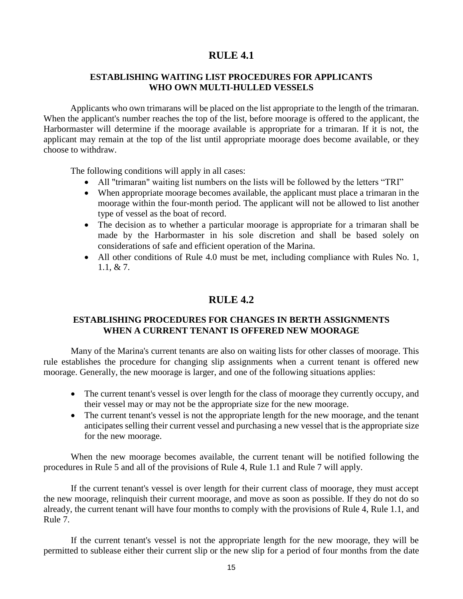# **RULE 4.1**

# **ESTABLISHING WAITING LIST PROCEDURES FOR APPLICANTS WHO OWN MULTI-HULLED VESSELS**

Applicants who own trimarans will be placed on the list appropriate to the length of the trimaran. When the applicant's number reaches the top of the list, before moorage is offered to the applicant, the Harbormaster will determine if the moorage available is appropriate for a trimaran. If it is not, the applicant may remain at the top of the list until appropriate moorage does become available, or they choose to withdraw.

The following conditions will apply in all cases:

- All "trimaran" waiting list numbers on the lists will be followed by the letters "TRI"
- When appropriate moorage becomes available, the applicant must place a trimaran in the moorage within the four-month period. The applicant will not be allowed to list another type of vessel as the boat of record.
- The decision as to whether a particular moorage is appropriate for a trimaran shall be made by the Harbormaster in his sole discretion and shall be based solely on considerations of safe and efficient operation of the Marina.
- All other conditions of Rule 4.0 must be met, including compliance with Rules No. 1, 1.1, & 7.

# **RULE 4.2**

# **ESTABLISHING PROCEDURES FOR CHANGES IN BERTH ASSIGNMENTS WHEN A CURRENT TENANT IS OFFERED NEW MOORAGE**

Many of the Marina's current tenants are also on waiting lists for other classes of moorage. This rule establishes the procedure for changing slip assignments when a current tenant is offered new moorage. Generally, the new moorage is larger, and one of the following situations applies:

- The current tenant's vessel is over length for the class of moorage they currently occupy, and their vessel may or may not be the appropriate size for the new moorage.
- The current tenant's vessel is not the appropriate length for the new moorage, and the tenant anticipates selling their current vessel and purchasing a new vessel that is the appropriate size for the new moorage.

When the new moorage becomes available, the current tenant will be notified following the procedures in Rule 5 and all of the provisions of Rule 4, Rule 1.1 and Rule 7 will apply.

If the current tenant's vessel is over length for their current class of moorage, they must accept the new moorage, relinquish their current moorage, and move as soon as possible. If they do not do so already, the current tenant will have four months to comply with the provisions of Rule 4, Rule 1.1, and Rule 7.

If the current tenant's vessel is not the appropriate length for the new moorage, they will be permitted to sublease either their current slip or the new slip for a period of four months from the date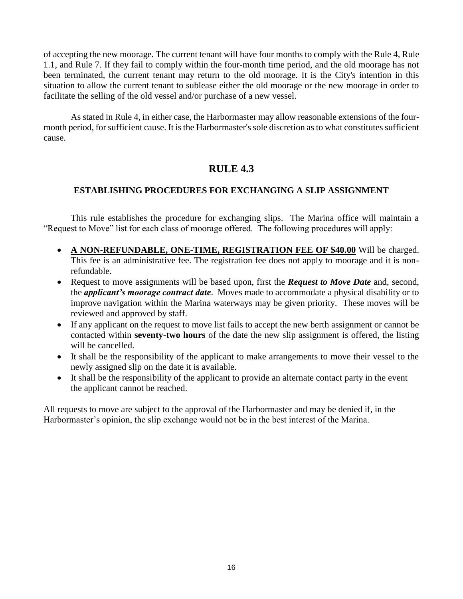of accepting the new moorage. The current tenant will have four months to comply with the Rule 4, Rule 1.1, and Rule 7. If they fail to comply within the four-month time period, and the old moorage has not been terminated, the current tenant may return to the old moorage. It is the City's intention in this situation to allow the current tenant to sublease either the old moorage or the new moorage in order to facilitate the selling of the old vessel and/or purchase of a new vessel.

As stated in Rule 4, in either case, the Harbormaster may allow reasonable extensions of the fourmonth period, for sufficient cause. It is the Harbormaster's sole discretion as to what constitutes sufficient cause.

# **RULE 4.3**

# **ESTABLISHING PROCEDURES FOR EXCHANGING A SLIP ASSIGNMENT**

This rule establishes the procedure for exchanging slips. The Marina office will maintain a "Request to Move" list for each class of moorage offered. The following procedures will apply:

- **A NON-REFUNDABLE, ONE-TIME, REGISTRATION FEE OF \$40.00** Will be charged. This fee is an administrative fee. The registration fee does not apply to moorage and it is nonrefundable.
- Request to move assignments will be based upon, first the *Request to Move Date* and, second, the *applicant's moorage contract date*. Moves made to accommodate a physical disability or to improve navigation within the Marina waterways may be given priority. These moves will be reviewed and approved by staff.
- If any applicant on the request to move list fails to accept the new berth assignment or cannot be contacted within **seventy-two hours** of the date the new slip assignment is offered, the listing will be cancelled.
- It shall be the responsibility of the applicant to make arrangements to move their vessel to the newly assigned slip on the date it is available.
- It shall be the responsibility of the applicant to provide an alternate contact party in the event the applicant cannot be reached.

All requests to move are subject to the approval of the Harbormaster and may be denied if, in the Harbormaster's opinion, the slip exchange would not be in the best interest of the Marina.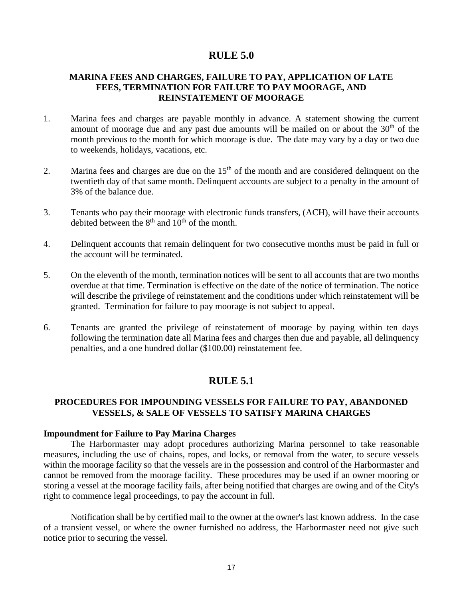# **RULE 5.0**

# **MARINA FEES AND CHARGES, FAILURE TO PAY, APPLICATION OF LATE FEES, TERMINATION FOR FAILURE TO PAY MOORAGE, AND REINSTATEMENT OF MOORAGE**

- 1. Marina fees and charges are payable monthly in advance. A statement showing the current amount of moorage due and any past due amounts will be mailed on or about the 30<sup>th</sup> of the month previous to the month for which moorage is due. The date may vary by a day or two due to weekends, holidays, vacations, etc.
- 2. Marina fees and charges are due on the  $15<sup>th</sup>$  of the month and are considered delinquent on the twentieth day of that same month. Delinquent accounts are subject to a penalty in the amount of 3% of the balance due.
- 3. Tenants who pay their moorage with electronic funds transfers, (ACH), will have their accounts debited between the  $8<sup>th</sup>$  and  $10<sup>th</sup>$  of the month.
- 4. Delinquent accounts that remain delinquent for two consecutive months must be paid in full or the account will be terminated.
- 5. On the eleventh of the month, termination notices will be sent to all accounts that are two months overdue at that time. Termination is effective on the date of the notice of termination. The notice will describe the privilege of reinstatement and the conditions under which reinstatement will be granted. Termination for failure to pay moorage is not subject to appeal.
- 6. Tenants are granted the privilege of reinstatement of moorage by paying within ten days following the termination date all Marina fees and charges then due and payable, all delinquency penalties, and a one hundred dollar (\$100.00) reinstatement fee.

# **RULE 5.1**

## **PROCEDURES FOR IMPOUNDING VESSELS FOR FAILURE TO PAY, ABANDONED VESSELS, & SALE OF VESSELS TO SATISFY MARINA CHARGES**

#### **Impoundment for Failure to Pay Marina Charges**

The Harbormaster may adopt procedures authorizing Marina personnel to take reasonable measures, including the use of chains, ropes, and locks, or removal from the water, to secure vessels within the moorage facility so that the vessels are in the possession and control of the Harbormaster and cannot be removed from the moorage facility. These procedures may be used if an owner mooring or storing a vessel at the moorage facility fails, after being notified that charges are owing and of the City's right to commence legal proceedings, to pay the account in full.

Notification shall be by certified mail to the owner at the owner's last known address. In the case of a transient vessel, or where the owner furnished no address, the Harbormaster need not give such notice prior to securing the vessel.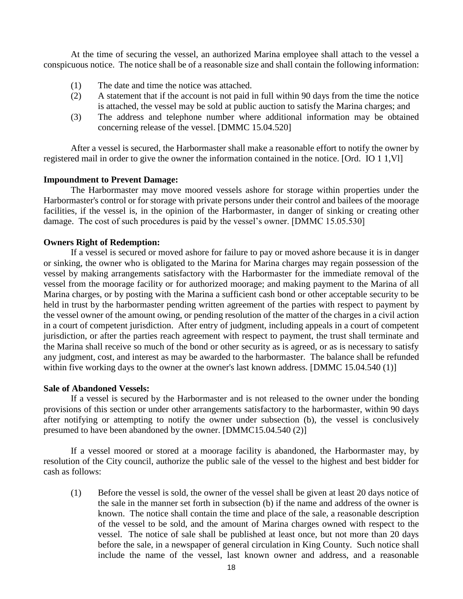At the time of securing the vessel, an authorized Marina employee shall attach to the vessel a conspicuous notice. The notice shall be of a reasonable size and shall contain the following information:

- (1) The date and time the notice was attached.
- (2) A statement that if the account is not paid in full within 90 days from the time the notice is attached, the vessel may be sold at public auction to satisfy the Marina charges; and
- (3) The address and telephone number where additional information may be obtained concerning release of the vessel. [DMMC 15.04.520]

After a vessel is secured, the Harbormaster shall make a reasonable effort to notify the owner by registered mail in order to give the owner the information contained in the notice. [Ord. IO 1 1,Vl]

#### **Impoundment to Prevent Damage:**

The Harbormaster may move moored vessels ashore for storage within properties under the Harbormaster's control or for storage with private persons under their control and bailees of the moorage facilities, if the vessel is, in the opinion of the Harbormaster, in danger of sinking or creating other damage. The cost of such procedures is paid by the vessel's owner. [DMMC 15.05.530]

### **Owners Right of Redemption:**

If a vessel is secured or moved ashore for failure to pay or moved ashore because it is in danger or sinking, the owner who is obligated to the Marina for Marina charges may regain possession of the vessel by making arrangements satisfactory with the Harbormaster for the immediate removal of the vessel from the moorage facility or for authorized moorage; and making payment to the Marina of all Marina charges, or by posting with the Marina a sufficient cash bond or other acceptable security to be held in trust by the harbormaster pending written agreement of the parties with respect to payment by the vessel owner of the amount owing, or pending resolution of the matter of the charges in a civil action in a court of competent jurisdiction. After entry of judgment, including appeals in a court of competent jurisdiction, or after the parties reach agreement with respect to payment, the trust shall terminate and the Marina shall receive so much of the bond or other security as is agreed, or as is necessary to satisfy any judgment, cost, and interest as may be awarded to the harbormaster. The balance shall be refunded within five working days to the owner at the owner's last known address. [DMMC 15.04.540 (1)]

#### **Sale of Abandoned Vessels:**

If a vessel is secured by the Harbormaster and is not released to the owner under the bonding provisions of this section or under other arrangements satisfactory to the harbormaster, within 90 days after notifying or attempting to notify the owner under subsection (b), the vessel is conclusively presumed to have been abandoned by the owner. [DMMC15.04.540 (2)]

If a vessel moored or stored at a moorage facility is abandoned, the Harbormaster may, by resolution of the City council, authorize the public sale of the vessel to the highest and best bidder for cash as follows:

(1) Before the vessel is sold, the owner of the vessel shall be given at least 20 days notice of the sale in the manner set forth in subsection (b) if the name and address of the owner is known. The notice shall contain the time and place of the sale, a reasonable description of the vessel to be sold, and the amount of Marina charges owned with respect to the vessel. The notice of sale shall be published at least once, but not more than 20 days before the sale, in a newspaper of general circulation in King County. Such notice shall include the name of the vessel, last known owner and address, and a reasonable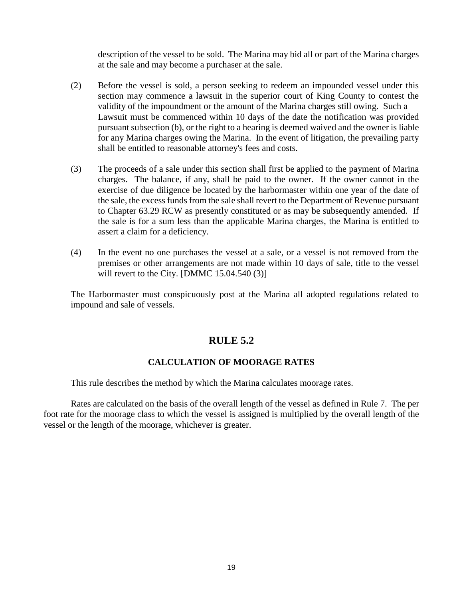description of the vessel to be sold. The Marina may bid all or part of the Marina charges at the sale and may become a purchaser at the sale.

- (2) Before the vessel is sold, a person seeking to redeem an impounded vessel under this section may commence a lawsuit in the superior court of King County to contest the validity of the impoundment or the amount of the Marina charges still owing. Such a Lawsuit must be commenced within 10 days of the date the notification was provided pursuant subsection (b), or the right to a hearing is deemed waived and the owner is liable for any Marina charges owing the Marina. In the event of litigation, the prevailing party shall be entitled to reasonable attorney's fees and costs.
- (3) The proceeds of a sale under this section shall first be applied to the payment of Marina charges. The balance, if any, shall be paid to the owner. If the owner cannot in the exercise of due diligence be located by the harbormaster within one year of the date of the sale, the excess funds from the sale shall revert to the Department of Revenue pursuant to Chapter 63.29 RCW as presently constituted or as may be subsequently amended. If the sale is for a sum less than the applicable Marina charges, the Marina is entitled to assert a claim for a deficiency.
- (4) In the event no one purchases the vessel at a sale, or a vessel is not removed from the premises or other arrangements are not made within 10 days of sale, title to the vessel will revert to the City. [DMMC 15.04.540 (3)]

The Harbormaster must conspicuously post at the Marina all adopted regulations related to impound and sale of vessels.

# **RULE 5.2**

# **CALCULATION OF MOORAGE RATES**

This rule describes the method by which the Marina calculates moorage rates.

Rates are calculated on the basis of the overall length of the vessel as defined in Rule 7. The per foot rate for the moorage class to which the vessel is assigned is multiplied by the overall length of the vessel or the length of the moorage, whichever is greater.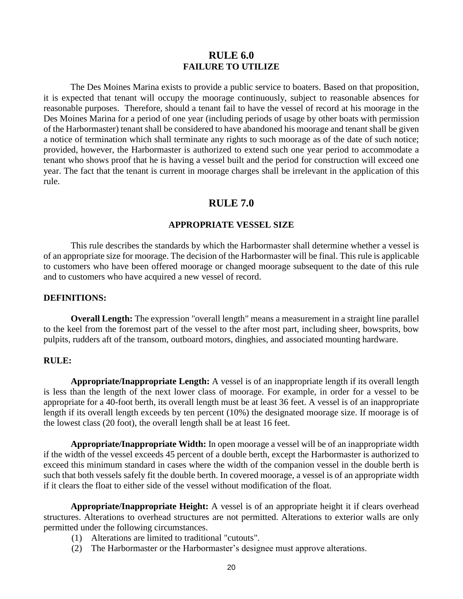# **RULE 6.0 FAILURE TO UTILIZE**

The Des Moines Marina exists to provide a public service to boaters. Based on that proposition, it is expected that tenant will occupy the moorage continuously, subject to reasonable absences for reasonable purposes. Therefore, should a tenant fail to have the vessel of record at his moorage in the Des Moines Marina for a period of one year (including periods of usage by other boats with permission of the Harbormaster) tenant shall be considered to have abandoned his moorage and tenant shall be given a notice of termination which shall terminate any rights to such moorage as of the date of such notice; provided, however, the Harbormaster is authorized to extend such one year period to accommodate a tenant who shows proof that he is having a vessel built and the period for construction will exceed one year. The fact that the tenant is current in moorage charges shall be irrelevant in the application of this rule.

# **RULE 7.0**

### **APPROPRIATE VESSEL SIZE**

This rule describes the standards by which the Harbormaster shall determine whether a vessel is of an appropriate size for moorage. The decision of the Harbormaster will be final. This rule is applicable to customers who have been offered moorage or changed moorage subsequent to the date of this rule and to customers who have acquired a new vessel of record.

#### **DEFINITIONS:**

**Overall Length:** The expression "overall length" means a measurement in a straight line parallel to the keel from the foremost part of the vessel to the after most part, including sheer, bowsprits, bow pulpits, rudders aft of the transom, outboard motors, dinghies, and associated mounting hardware.

#### **RULE:**

**Appropriate/Inappropriate Length:** A vessel is of an inappropriate length if its overall length is less than the length of the next lower class of moorage. For example, in order for a vessel to be appropriate for a 40-foot berth, its overall length must be at least 36 feet. A vessel is of an inappropriate length if its overall length exceeds by ten percent (10%) the designated moorage size. If moorage is of the lowest class (20 foot), the overall length shall be at least 16 feet.

**Appropriate/Inappropriate Width:** In open moorage a vessel will be of an inappropriate width if the width of the vessel exceeds 45 percent of a double berth, except the Harbormaster is authorized to exceed this minimum standard in cases where the width of the companion vessel in the double berth is such that both vessels safely fit the double berth. In covered moorage, a vessel is of an appropriate width if it clears the float to either side of the vessel without modification of the float.

**Appropriate/Inappropriate Height:** A vessel is of an appropriate height it if clears overhead structures. Alterations to overhead structures are not permitted. Alterations to exterior walls are only permitted under the following circumstances.

- (1) Alterations are limited to traditional "cutouts".
- (2) The Harbormaster or the Harbormaster's designee must approve alterations.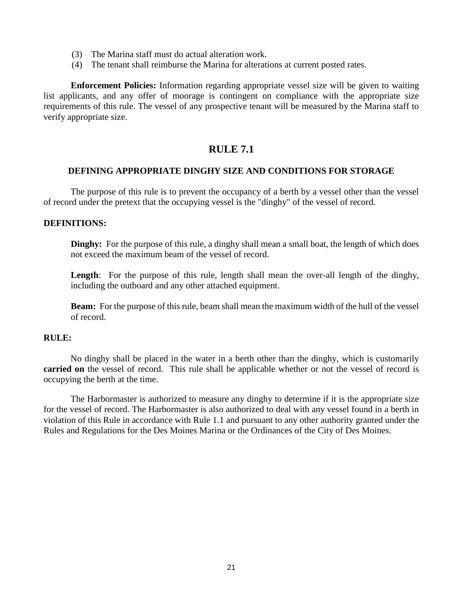- (3) The Marina staff must do actual alteration work.
- (4) The tenant shall reimburse the Marina for alterations at current posted rates.

**Enforcement Policies:** Information regarding appropriate vessel size will be given to waiting list applicants, and any offer of moorage is contingent on compliance with the appropriate size requirements of this rule. The vessel of any prospective tenant will be measured by the Marina staff to verify appropriate size.

# **RULE 7.1**

### **DEFINING APPROPRIATE DINGHY SIZE AND CONDITIONS FOR STORAGE**

The purpose of this rule is to prevent the occupancy of a berth by a vessel other than the vessel of record under the pretext that the occupying vessel is the "dinghy" of the vessel of record.

### **DEFINITIONS:**

**Dinghy:** For the purpose of this rule, a dinghy shall mean a small boat, the length of which does not exceed the maximum beam of the vessel of record.

Length: For the purpose of this rule, length shall mean the over-all length of the dinghy, including the outboard and any other attached equipment.

**Beam:** For the purpose of this rule, beam shall mean the maximum width of the hull of the vessel of record.

#### **RULE:**

No dinghy shall be placed in the water in a berth other than the dinghy, which is customarily **carried on** the vessel of record. This rule shall be applicable whether or not the vessel of record is occupying the berth at the time.

The Harbormaster is authorized to measure any dinghy to determine if it is the appropriate size for the vessel of record. The Harbormaster is also authorized to deal with any vessel found in a berth in violation of this Rule in accordance with Rule 1.1 and pursuant to any other authority granted under the Rules and Regulations for the Des Moines Marina or the Ordinances of the City of Des Moines.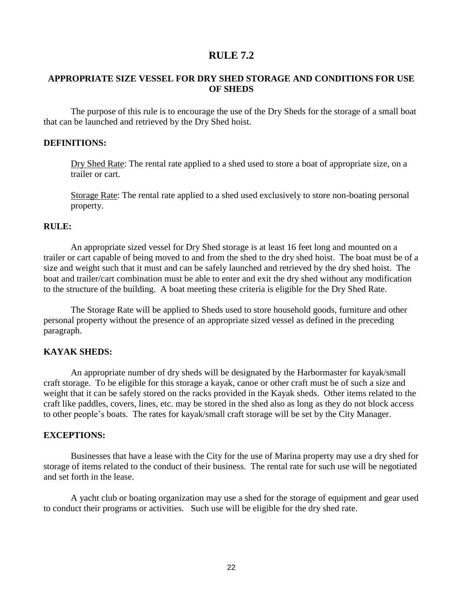# **RULE 7.2**

# **APPROPRIATE SIZE VESSEL FOR DRY SHED STORAGE AND CONDITIONS FOR USE OF SHEDS**

The purpose of this rule is to encourage the use of the Dry Sheds for the storage of a small boat that can be launched and retrieved by the Dry Shed hoist.

### **DEFINITIONS:**

Dry Shed Rate: The rental rate applied to a shed used to store a boat of appropriate size, on a trailer or cart.

Storage Rate: The rental rate applied to a shed used exclusively to store non-boating personal property.

## **RULE:**

An appropriate sized vessel for Dry Shed storage is at least 16 feet long and mounted on a trailer or cart capable of being moved to and from the shed to the dry shed hoist. The boat must be of a size and weight such that it must and can be safely launched and retrieved by the dry shed hoist. The boat and trailer/cart combination must be able to enter and exit the dry shed without any modification to the structure of the building. A boat meeting these criteria is eligible for the Dry Shed Rate.

The Storage Rate will be applied to Sheds used to store household goods, furniture and other personal property without the presence of an appropriate sized vessel as defined in the preceding paragraph.

#### **KAYAK SHEDS:**

An appropriate number of dry sheds will be designated by the Harbormaster for kayak/small craft storage. To be eligible for this storage a kayak, canoe or other craft must be of such a size and weight that it can be safely stored on the racks provided in the Kayak sheds. Other items related to the craft like paddles, covers, lines, etc. may be stored in the shed also as long as they do not block access to other people's boats. The rates for kayak/small craft storage will be set by the City Manager.

### **EXCEPTIONS:**

Businesses that have a lease with the City for the use of Marina property may use a dry shed for storage of items related to the conduct of their business. The rental rate for such use will be negotiated and set forth in the lease.

A yacht club or boating organization may use a shed for the storage of equipment and gear used to conduct their programs or activities. Such use will be eligible for the dry shed rate.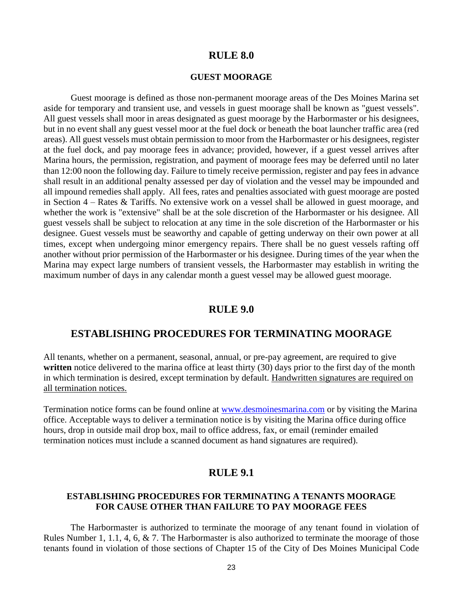# **RULE 8.0**

#### **GUEST MOORAGE**

Guest moorage is defined as those non-permanent moorage areas of the Des Moines Marina set aside for temporary and transient use, and vessels in guest moorage shall be known as "guest vessels". All guest vessels shall moor in areas designated as guest moorage by the Harbormaster or his designees, but in no event shall any guest vessel moor at the fuel dock or beneath the boat launcher traffic area (red areas). All guest vessels must obtain permission to moor from the Harbormaster or his designees, register at the fuel dock, and pay moorage fees in advance; provided, however, if a guest vessel arrives after Marina hours, the permission, registration, and payment of moorage fees may be deferred until no later than 12:00 noon the following day. Failure to timely receive permission, register and pay fees in advance shall result in an additional penalty assessed per day of violation and the vessel may be impounded and all impound remedies shall apply. All fees, rates and penalties associated with guest moorage are posted in Section 4 – Rates & Tariffs. No extensive work on a vessel shall be allowed in guest moorage, and whether the work is "extensive" shall be at the sole discretion of the Harbormaster or his designee. All guest vessels shall be subject to relocation at any time in the sole discretion of the Harbormaster or his designee. Guest vessels must be seaworthy and capable of getting underway on their own power at all times, except when undergoing minor emergency repairs. There shall be no guest vessels rafting off another without prior permission of the Harbormaster or his designee. During times of the year when the Marina may expect large numbers of transient vessels, the Harbormaster may establish in writing the maximum number of days in any calendar month a guest vessel may be allowed guest moorage.

# **RULE 9.0**

# **ESTABLISHING PROCEDURES FOR TERMINATING MOORAGE**

All tenants, whether on a permanent, seasonal, annual, or pre-pay agreement, are required to give written notice delivered to the marina office at least thirty (30) days prior to the first day of the month in which termination is desired, except termination by default. Handwritten signatures are required on all termination notices.

Termination notice forms can be found online at [www.desmoinesmarina.com](http://www.desmoinesmarina.com/) or by visiting the Marina office. Acceptable ways to deliver a termination notice is by visiting the Marina office during office hours, drop in outside mail drop box, mail to office address, fax, or email (reminder emailed termination notices must include a scanned document as hand signatures are required).

# **RULE 9.1**

### **ESTABLISHING PROCEDURES FOR TERMINATING A TENANTS MOORAGE FOR CAUSE OTHER THAN FAILURE TO PAY MOORAGE FEES**

The Harbormaster is authorized to terminate the moorage of any tenant found in violation of Rules Number 1, 1.1, 4, 6, & 7. The Harbormaster is also authorized to terminate the moorage of those tenants found in violation of those sections of Chapter 15 of the City of Des Moines Municipal Code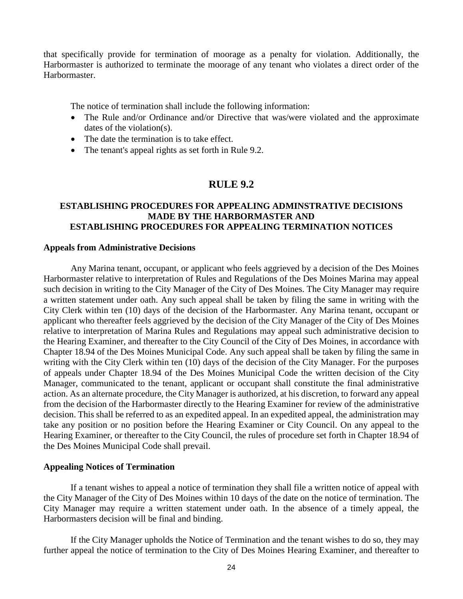that specifically provide for termination of moorage as a penalty for violation. Additionally, the Harbormaster is authorized to terminate the moorage of any tenant who violates a direct order of the Harbormaster.

The notice of termination shall include the following information:

- The Rule and/or Ordinance and/or Directive that was/were violated and the approximate dates of the violation(s).
- The date the termination is to take effect.
- The tenant's appeal rights as set forth in Rule 9.2.

# **RULE 9.2**

## **ESTABLISHING PROCEDURES FOR APPEALING ADMINSTRATIVE DECISIONS MADE BY THE HARBORMASTER AND ESTABLISHING PROCEDURES FOR APPEALING TERMINATION NOTICES**

#### **Appeals from Administrative Decisions**

Any Marina tenant, occupant, or applicant who feels aggrieved by a decision of the Des Moines Harbormaster relative to interpretation of Rules and Regulations of the Des Moines Marina may appeal such decision in writing to the City Manager of the City of Des Moines. The City Manager may require a written statement under oath. Any such appeal shall be taken by filing the same in writing with the City Clerk within ten (10) days of the decision of the Harbormaster. Any Marina tenant, occupant or applicant who thereafter feels aggrieved by the decision of the City Manager of the City of Des Moines relative to interpretation of Marina Rules and Regulations may appeal such administrative decision to the Hearing Examiner, and thereafter to the City Council of the City of Des Moines, in accordance with Chapter 18.94 of the Des Moines Municipal Code. Any such appeal shall be taken by filing the same in writing with the City Clerk within ten (10) days of the decision of the City Manager. For the purposes of appeals under Chapter 18.94 of the Des Moines Municipal Code the written decision of the City Manager, communicated to the tenant, applicant or occupant shall constitute the final administrative action. As an alternate procedure, the City Manager is authorized, at his discretion, to forward any appeal from the decision of the Harbormaster directly to the Hearing Examiner for review of the administrative decision. This shall be referred to as an expedited appeal. In an expedited appeal, the administration may take any position or no position before the Hearing Examiner or City Council. On any appeal to the Hearing Examiner, or thereafter to the City Council, the rules of procedure set forth in Chapter 18.94 of the Des Moines Municipal Code shall prevail.

#### **Appealing Notices of Termination**

If a tenant wishes to appeal a notice of termination they shall file a written notice of appeal with the City Manager of the City of Des Moines within 10 days of the date on the notice of termination. The City Manager may require a written statement under oath. In the absence of a timely appeal, the Harbormasters decision will be final and binding.

If the City Manager upholds the Notice of Termination and the tenant wishes to do so, they may further appeal the notice of termination to the City of Des Moines Hearing Examiner, and thereafter to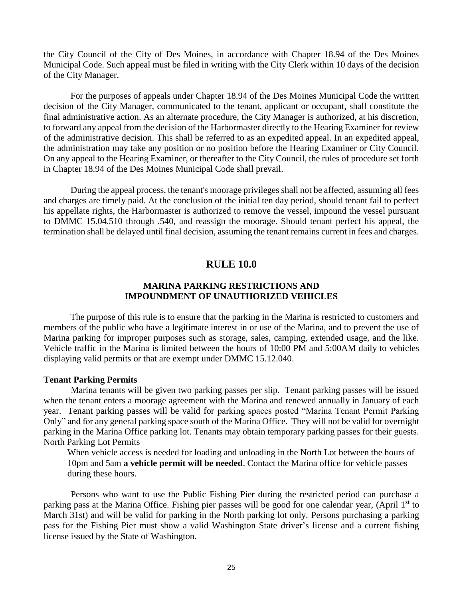the City Council of the City of Des Moines, in accordance with Chapter 18.94 of the Des Moines Municipal Code. Such appeal must be filed in writing with the City Clerk within 10 days of the decision of the City Manager.

For the purposes of appeals under Chapter 18.94 of the Des Moines Municipal Code the written decision of the City Manager, communicated to the tenant, applicant or occupant, shall constitute the final administrative action. As an alternate procedure, the City Manager is authorized, at his discretion, to forward any appeal from the decision of the Harbormaster directly to the Hearing Examiner for review of the administrative decision. This shall be referred to as an expedited appeal. In an expedited appeal, the administration may take any position or no position before the Hearing Examiner or City Council. On any appeal to the Hearing Examiner, or thereafter to the City Council, the rules of procedure set forth in Chapter 18.94 of the Des Moines Municipal Code shall prevail.

During the appeal process, the tenant's moorage privileges shall not be affected, assuming all fees and charges are timely paid. At the conclusion of the initial ten day period, should tenant fail to perfect his appellate rights, the Harbormaster is authorized to remove the vessel, impound the vessel pursuant to DMMC 15.04.510 through .540, and reassign the moorage. Should tenant perfect his appeal, the termination shall be delayed until final decision, assuming the tenant remains current in fees and charges.

# **RULE 10.0**

### **MARINA PARKING RESTRICTIONS AND IMPOUNDMENT OF UNAUTHORIZED VEHICLES**

The purpose of this rule is to ensure that the parking in the Marina is restricted to customers and members of the public who have a legitimate interest in or use of the Marina, and to prevent the use of Marina parking for improper purposes such as storage, sales, camping, extended usage, and the like. Vehicle traffic in the Marina is limited between the hours of 10:00 PM and 5:00AM daily to vehicles displaying valid permits or that are exempt under DMMC 15.12.040.

#### **Tenant Parking Permits**

Marina tenants will be given two parking passes per slip. Tenant parking passes will be issued when the tenant enters a moorage agreement with the Marina and renewed annually in January of each year. Tenant parking passes will be valid for parking spaces posted "Marina Tenant Permit Parking Only" and for any general parking space south of the Marina Office. They will not be valid for overnight parking in the Marina Office parking lot. Tenants may obtain temporary parking passes for their guests. North Parking Lot Permits

When vehicle access is needed for loading and unloading in the North Lot between the hours of 10pm and 5am **a vehicle permit will be needed**. Contact the Marina office for vehicle passes during these hours.

Persons who want to use the Public Fishing Pier during the restricted period can purchase a parking pass at the Marina Office. Fishing pier passes will be good for one calendar year, (April 1<sup>st</sup> to March 31st) and will be valid for parking in the North parking lot only. Persons purchasing a parking pass for the Fishing Pier must show a valid Washington State driver's license and a current fishing license issued by the State of Washington.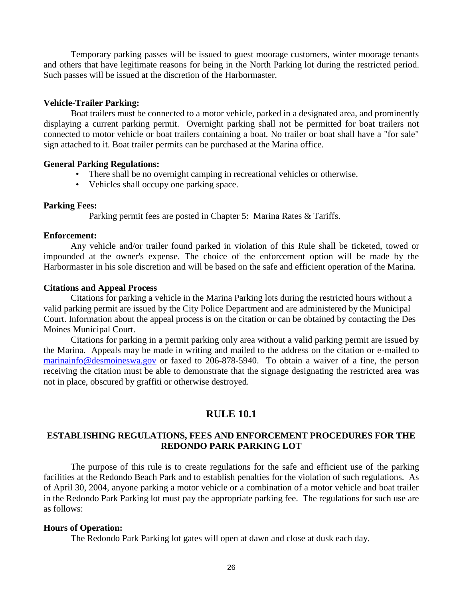Temporary parking passes will be issued to guest moorage customers, winter moorage tenants and others that have legitimate reasons for being in the North Parking lot during the restricted period. Such passes will be issued at the discretion of the Harbormaster.

### **Vehicle-Trailer Parking:**

Boat trailers must be connected to a motor vehicle, parked in a designated area, and prominently displaying a current parking permit. Overnight parking shall not be permitted for boat trailers not connected to motor vehicle or boat trailers containing a boat. No trailer or boat shall have a "for sale" sign attached to it. Boat trailer permits can be purchased at the Marina office.

#### **General Parking Regulations:**

- There shall be no overnight camping in recreational vehicles or otherwise.
- Vehicles shall occupy one parking space.

### **Parking Fees:**

Parking permit fees are posted in Chapter 5: Marina Rates & Tariffs.

#### **Enforcement:**

Any vehicle and/or trailer found parked in violation of this Rule shall be ticketed, towed or impounded at the owner's expense. The choice of the enforcement option will be made by the Harbormaster in his sole discretion and will be based on the safe and efficient operation of the Marina.

### **Citations and Appeal Process**

Citations for parking a vehicle in the Marina Parking lots during the restricted hours without a valid parking permit are issued by the City Police Department and are administered by the Municipal Court. Information about the appeal process is on the citation or can be obtained by contacting the Des Moines Municipal Court.

Citations for parking in a permit parking only area without a valid parking permit are issued by the Marina. Appeals may be made in writing and mailed to the address on the citation or e-mailed to [marinainfo@desmoineswa.gov](mailto:info@desmoinesmarina.com) or faxed to 206-878-5940. To obtain a waiver of a fine, the person receiving the citation must be able to demonstrate that the signage designating the restricted area was not in place, obscured by graffiti or otherwise destroyed.

# **RULE 10.1**

# **ESTABLISHING REGULATIONS, FEES AND ENFORCEMENT PROCEDURES FOR THE REDONDO PARK PARKING LOT**

The purpose of this rule is to create regulations for the safe and efficient use of the parking facilities at the Redondo Beach Park and to establish penalties for the violation of such regulations. As of April 30, 2004, anyone parking a motor vehicle or a combination of a motor vehicle and boat trailer in the Redondo Park Parking lot must pay the appropriate parking fee. The regulations for such use are as follows:

## **Hours of Operation:**

The Redondo Park Parking lot gates will open at dawn and close at dusk each day.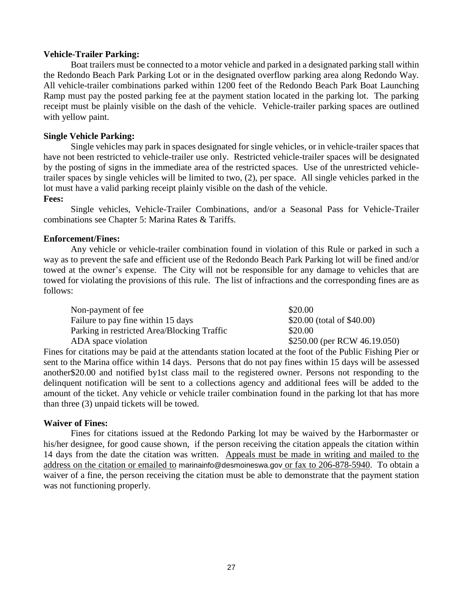### **Vehicle-Trailer Parking:**

Boat trailers must be connected to a motor vehicle and parked in a designated parking stall within the Redondo Beach Park Parking Lot or in the designated overflow parking area along Redondo Way. All vehicle-trailer combinations parked within 1200 feet of the Redondo Beach Park Boat Launching Ramp must pay the posted parking fee at the payment station located in the parking lot. The parking receipt must be plainly visible on the dash of the vehicle. Vehicle-trailer parking spaces are outlined with yellow paint.

### **Single Vehicle Parking:**

Single vehicles may park in spaces designated for single vehicles, or in vehicle-trailer spaces that have not been restricted to vehicle-trailer use only. Restricted vehicle-trailer spaces will be designated by the posting of signs in the immediate area of the restricted spaces. Use of the unrestricted vehicletrailer spaces by single vehicles will be limited to two, (2), per space. All single vehicles parked in the lot must have a valid parking receipt plainly visible on the dash of the vehicle.

### **Fees:**

Single vehicles, Vehicle-Trailer Combinations, and/or a Seasonal Pass for Vehicle-Trailer combinations see Chapter 5: Marina Rates & Tariffs.

### **Enforcement/Fines:**

Any vehicle or vehicle-trailer combination found in violation of this Rule or parked in such a way as to prevent the safe and efficient use of the Redondo Beach Park Parking lot will be fined and/or towed at the owner's expense. The City will not be responsible for any damage to vehicles that are towed for violating the provisions of this rule. The list of infractions and the corresponding fines are as follows:

| Non-payment of fee                          | \$20.00                      |
|---------------------------------------------|------------------------------|
| Failure to pay fine within 15 days          | \$20.00 (total of $$40.00$ ) |
| Parking in restricted Area/Blocking Traffic | \$20.00                      |
| ADA space violation                         | \$250.00 (per RCW 46.19.050) |

Fines for citations may be paid at the attendants station located at the foot of the Public Fishing Pier or sent to the Marina office within 14 days. Persons that do not pay fines within 15 days will be assessed another\$20.00 and notified by1st class mail to the registered owner. Persons not responding to the delinquent notification will be sent to a collections agency and additional fees will be added to the amount of the ticket. Any vehicle or vehicle trailer combination found in the parking lot that has more than three (3) unpaid tickets will be towed.

#### **Waiver of Fines:**

Fines for citations issued at the Redondo Parking lot may be waived by the Harbormaster or his/her designee, for good cause shown, if the person receiving the citation appeals the citation within 14 days from the date the citation was written. Appeals must be made in writing and mailed to the address on the citation or emailed to marinainfo@desmoineswa.gov or fax to 206-878-5940. To obtain a waiver of a fine, the person receiving the citation must be able to demonstrate that the payment station was not functioning properly.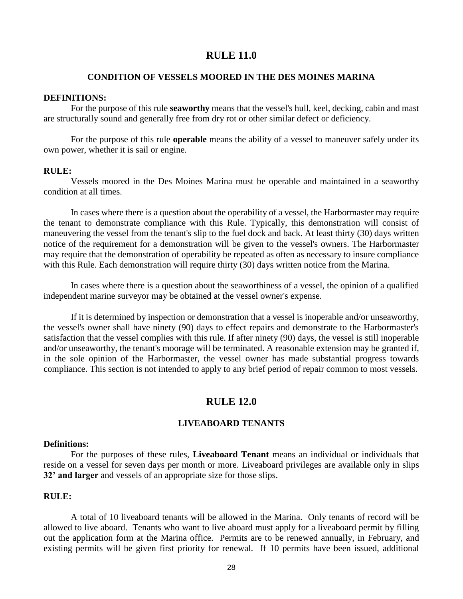# **RULE 11.0**

#### **CONDITION OF VESSELS MOORED IN THE DES MOINES MARINA**

#### **DEFINITIONS:**

For the purpose of this rule **seaworthy** means that the vessel's hull, keel, decking, cabin and mast are structurally sound and generally free from dry rot or other similar defect or deficiency.

For the purpose of this rule **operable** means the ability of a vessel to maneuver safely under its own power, whether it is sail or engine.

#### **RULE:**

Vessels moored in the Des Moines Marina must be operable and maintained in a seaworthy condition at all times.

In cases where there is a question about the operability of a vessel, the Harbormaster may require the tenant to demonstrate compliance with this Rule. Typically, this demonstration will consist of maneuvering the vessel from the tenant's slip to the fuel dock and back. At least thirty (30) days written notice of the requirement for a demonstration will be given to the vessel's owners. The Harbormaster may require that the demonstration of operability be repeated as often as necessary to insure compliance with this Rule. Each demonstration will require thirty (30) days written notice from the Marina.

In cases where there is a question about the seaworthiness of a vessel, the opinion of a qualified independent marine surveyor may be obtained at the vessel owner's expense.

If it is determined by inspection or demonstration that a vessel is inoperable and/or unseaworthy, the vessel's owner shall have ninety (90) days to effect repairs and demonstrate to the Harbormaster's satisfaction that the vessel complies with this rule. If after ninety (90) days, the vessel is still inoperable and/or unseaworthy, the tenant's moorage will be terminated. A reasonable extension may be granted if, in the sole opinion of the Harbormaster, the vessel owner has made substantial progress towards compliance. This section is not intended to apply to any brief period of repair common to most vessels.

#### **RULE 12.0**

#### **LIVEABOARD TENANTS**

#### **Definitions:**

For the purposes of these rules, **Liveaboard Tenant** means an individual or individuals that reside on a vessel for seven days per month or more. Liveaboard privileges are available only in slips **32' and larger** and vessels of an appropriate size for those slips.

### **RULE:**

A total of 10 liveaboard tenants will be allowed in the Marina. Only tenants of record will be allowed to live aboard. Tenants who want to live aboard must apply for a liveaboard permit by filling out the application form at the Marina office. Permits are to be renewed annually, in February, and existing permits will be given first priority for renewal. If 10 permits have been issued, additional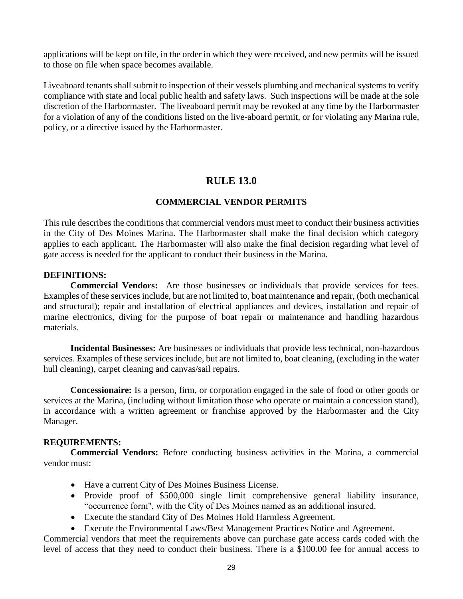applications will be kept on file, in the order in which they were received, and new permits will be issued to those on file when space becomes available.

Liveaboard tenants shall submit to inspection of their vessels plumbing and mechanical systems to verify compliance with state and local public health and safety laws. Such inspections will be made at the sole discretion of the Harbormaster. The liveaboard permit may be revoked at any time by the Harbormaster for a violation of any of the conditions listed on the live-aboard permit, or for violating any Marina rule, policy, or a directive issued by the Harbormaster.

# **RULE 13.0**

# **COMMERCIAL VENDOR PERMITS**

This rule describes the conditions that commercial vendors must meet to conduct their business activities in the City of Des Moines Marina. The Harbormaster shall make the final decision which category applies to each applicant. The Harbormaster will also make the final decision regarding what level of gate access is needed for the applicant to conduct their business in the Marina.

# **DEFINITIONS:**

**Commercial Vendors:** Are those businesses or individuals that provide services for fees. Examples of these services include, but are not limited to, boat maintenance and repair, (both mechanical and structural); repair and installation of electrical appliances and devices, installation and repair of marine electronics, diving for the purpose of boat repair or maintenance and handling hazardous materials.

**Incidental Businesses:** Are businesses or individuals that provide less technical, non-hazardous services. Examples of these services include, but are not limited to, boat cleaning, (excluding in the water hull cleaning), carpet cleaning and canvas/sail repairs.

**Concessionaire:** Is a person, firm, or corporation engaged in the sale of food or other goods or services at the Marina, (including without limitation those who operate or maintain a concession stand), in accordance with a written agreement or franchise approved by the Harbormaster and the City Manager.

## **REQUIREMENTS:**

**Commercial Vendors:** Before conducting business activities in the Marina, a commercial vendor must:

- Have a current City of Des Moines Business License.
- Provide proof of \$500,000 single limit comprehensive general liability insurance, "occurrence form", with the City of Des Moines named as an additional insured.
- Execute the standard City of Des Moines Hold Harmless Agreement.
- Execute the Environmental Laws/Best Management Practices Notice and Agreement.

Commercial vendors that meet the requirements above can purchase gate access cards coded with the level of access that they need to conduct their business. There is a \$100.00 fee for annual access to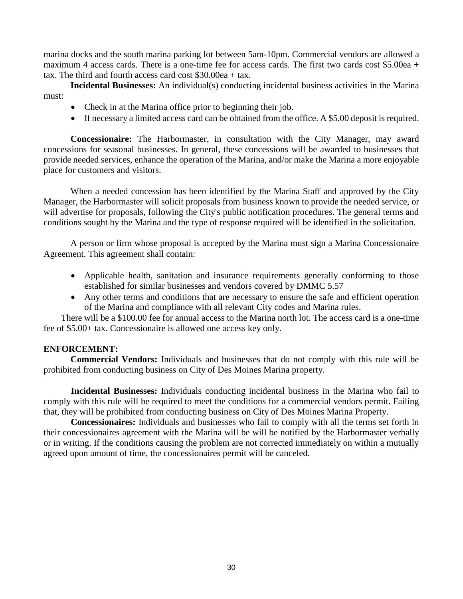marina docks and the south marina parking lot between 5am-10pm. Commercial vendors are allowed a maximum 4 access cards. There is a one-time fee for access cards. The first two cards cost \$5.00ea + tax. The third and fourth access card cost \$30.00ea + tax.

**Incidental Businesses:** An individual(s) conducting incidental business activities in the Marina must:

- Check in at the Marina office prior to beginning their job.
- If necessary a limited access card can be obtained from the office. A \$5.00 deposit is required.

**Concessionaire:** The Harbormaster, in consultation with the City Manager, may award concessions for seasonal businesses. In general, these concessions will be awarded to businesses that provide needed services, enhance the operation of the Marina, and/or make the Marina a more enjoyable place for customers and visitors.

When a needed concession has been identified by the Marina Staff and approved by the City Manager, the Harbormaster will solicit proposals from business known to provide the needed service, or will advertise for proposals, following the City's public notification procedures. The general terms and conditions sought by the Marina and the type of response required will be identified in the solicitation.

A person or firm whose proposal is accepted by the Marina must sign a Marina Concessionaire Agreement. This agreement shall contain:

- Applicable health, sanitation and insurance requirements generally conforming to those established for similar businesses and vendors covered by DMMC 5.57
- Any other terms and conditions that are necessary to ensure the safe and efficient operation of the Marina and compliance with all relevant City codes and Marina rules.

There will be a \$100.00 fee for annual access to the Marina north lot. The access card is a one-time fee of \$5.00+ tax. Concessionaire is allowed one access key only.

# **ENFORCEMENT:**

**Commercial Vendors:** Individuals and businesses that do not comply with this rule will be prohibited from conducting business on City of Des Moines Marina property.

**Incidental Businesses:** Individuals conducting incidental business in the Marina who fail to comply with this rule will be required to meet the conditions for a commercial vendors permit. Failing that, they will be prohibited from conducting business on City of Des Moines Marina Property.

**Concessionaires:** Individuals and businesses who fail to comply with all the terms set forth in their concessionaires agreement with the Marina will be will be notified by the Harbormaster verbally or in writing. If the conditions causing the problem are not corrected immediately on within a mutually agreed upon amount of time, the concessionaires permit will be canceled.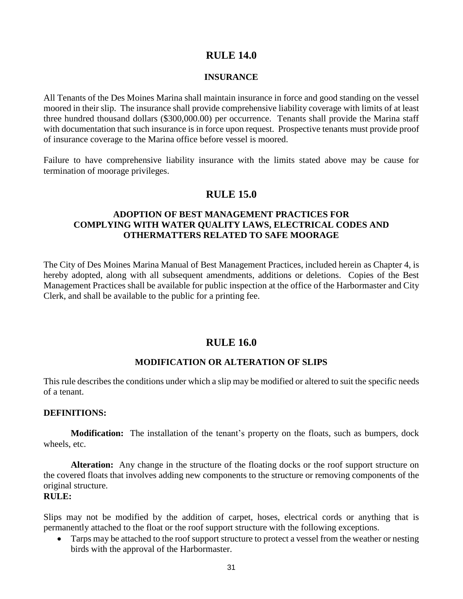# **RULE 14.0**

### **INSURANCE**

All Tenants of the Des Moines Marina shall maintain insurance in force and good standing on the vessel moored in their slip. The insurance shall provide comprehensive liability coverage with limits of at least three hundred thousand dollars (\$300,000.00) per occurrence. Tenants shall provide the Marina staff with documentation that such insurance is in force upon request. Prospective tenants must provide proof of insurance coverage to the Marina office before vessel is moored.

Failure to have comprehensive liability insurance with the limits stated above may be cause for termination of moorage privileges.

# **RULE 15.0**

# **ADOPTION OF BEST MANAGEMENT PRACTICES FOR COMPLYING WITH WATER QUALITY LAWS, ELECTRICAL CODES AND OTHERMATTERS RELATED TO SAFE MOORAGE**

The City of Des Moines Marina Manual of Best Management Practices, included herein as Chapter 4, is hereby adopted, along with all subsequent amendments, additions or deletions. Copies of the Best Management Practices shall be available for public inspection at the office of the Harbormaster and City Clerk, and shall be available to the public for a printing fee.

# **RULE 16.0**

## **MODIFICATION OR ALTERATION OF SLIPS**

This rule describes the conditions under which a slip may be modified or altered to suit the specific needs of a tenant.

#### **DEFINITIONS:**

**Modification:** The installation of the tenant's property on the floats, such as bumpers, dock wheels, etc.

**Alteration:** Any change in the structure of the floating docks or the roof support structure on the covered floats that involves adding new components to the structure or removing components of the original structure.

# **RULE:**

Slips may not be modified by the addition of carpet, hoses, electrical cords or anything that is permanently attached to the float or the roof support structure with the following exceptions.

• Tarps may be attached to the roof support structure to protect a vessel from the weather or nesting birds with the approval of the Harbormaster.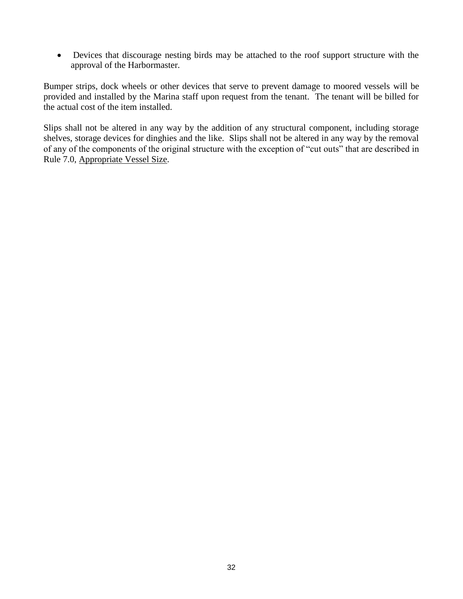Devices that discourage nesting birds may be attached to the roof support structure with the approval of the Harbormaster.

Bumper strips, dock wheels or other devices that serve to prevent damage to moored vessels will be provided and installed by the Marina staff upon request from the tenant. The tenant will be billed for the actual cost of the item installed.

Slips shall not be altered in any way by the addition of any structural component, including storage shelves, storage devices for dinghies and the like. Slips shall not be altered in any way by the removal of any of the components of the original structure with the exception of "cut outs" that are described in Rule 7.0, Appropriate Vessel Size.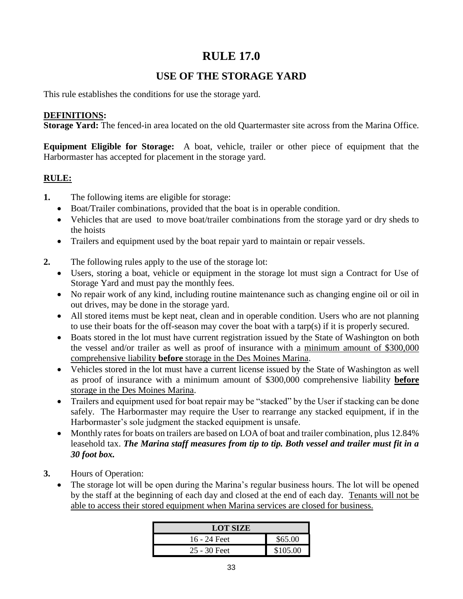# **RULE 17.0**

# **USE OF THE STORAGE YARD**

This rule establishes the conditions for use the storage yard.

# **DEFINITIONS:**

**Storage Yard:** The fenced-in area located on the old Quartermaster site across from the Marina Office.

**Equipment Eligible for Storage:** A boat, vehicle, trailer or other piece of equipment that the Harbormaster has accepted for placement in the storage yard.

# **RULE:**

- **1.** The following items are eligible for storage:
	- Boat/Trailer combinations, provided that the boat is in operable condition.
	- Vehicles that are used to move boat/trailer combinations from the storage yard or dry sheds to the hoists
	- Trailers and equipment used by the boat repair yard to maintain or repair vessels.
- **2.** The following rules apply to the use of the storage lot:
	- Users, storing a boat, vehicle or equipment in the storage lot must sign a Contract for Use of Storage Yard and must pay the monthly fees.
	- No repair work of any kind, including routine maintenance such as changing engine oil or oil in out drives, may be done in the storage yard.
	- All stored items must be kept neat, clean and in operable condition. Users who are not planning to use their boats for the off-season may cover the boat with a tarp(s) if it is properly secured.
	- Boats stored in the lot must have current registration issued by the State of Washington on both the vessel and/or trailer as well as proof of insurance with a minimum amount of \$300,000 comprehensive liability **before** storage in the Des Moines Marina.
	- Vehicles stored in the lot must have a current license issued by the State of Washington as well as proof of insurance with a minimum amount of \$300,000 comprehensive liability **before** storage in the Des Moines Marina.
	- Trailers and equipment used for boat repair may be "stacked" by the User if stacking can be done safely. The Harbormaster may require the User to rearrange any stacked equipment, if in the Harbormaster's sole judgment the stacked equipment is unsafe.
	- Monthly rates for boats on trailers are based on LOA of boat and trailer combination, plus 12.84% leasehold tax. *The Marina staff measures from tip to tip. Both vessel and trailer must fit in a 30 foot box.*
- **3.** Hours of Operation:
	- The storage lot will be open during the Marina's regular business hours. The lot will be opened by the staff at the beginning of each day and closed at the end of each day. Tenants will not be able to access their stored equipment when Marina services are closed for business.

| <b>LOT SIZE</b> |          |
|-----------------|----------|
| $16 - 24$ Feet  | \$65.00  |
| $25 - 30$ Feet  | \$105.00 |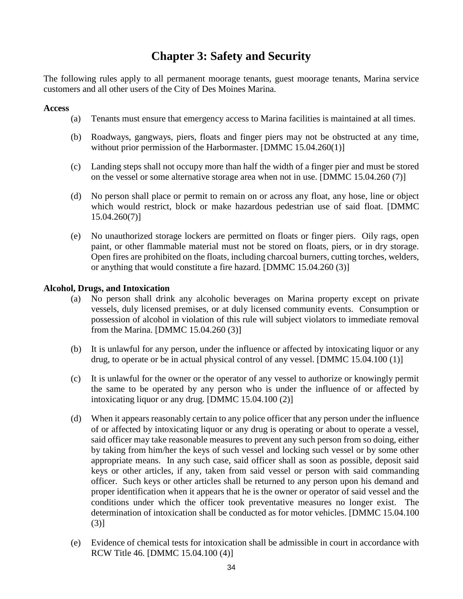# **Chapter 3: Safety and Security**

The following rules apply to all permanent moorage tenants, guest moorage tenants, Marina service customers and all other users of the City of Des Moines Marina.

# **Access**

- (a) Tenants must ensure that emergency access to Marina facilities is maintained at all times.
- (b) Roadways, gangways, piers, floats and finger piers may not be obstructed at any time, without prior permission of the Harbormaster. [DMMC 15.04.260(1)]
- (c) Landing steps shall not occupy more than half the width of a finger pier and must be stored on the vessel or some alternative storage area when not in use. [DMMC 15.04.260 (7)]
- (d) No person shall place or permit to remain on or across any float, any hose, line or object which would restrict, block or make hazardous pedestrian use of said float. [DMMC 15.04.260(7)]
- (e) No unauthorized storage lockers are permitted on floats or finger piers. Oily rags, open paint, or other flammable material must not be stored on floats, piers, or in dry storage. Open fires are prohibited on the floats, including charcoal burners, cutting torches, welders, or anything that would constitute a fire hazard. [DMMC 15.04.260 (3)]

# **Alcohol, Drugs, and Intoxication**

- (a) No person shall drink any alcoholic beverages on Marina property except on private vessels, duly licensed premises, or at duly licensed community events. Consumption or possession of alcohol in violation of this rule will subject violators to immediate removal from the Marina. [DMMC 15.04.260 (3)]
- (b) It is unlawful for any person, under the influence or affected by intoxicating liquor or any drug, to operate or be in actual physical control of any vessel. [DMMC 15.04.100 (1)]
- (c) It is unlawful for the owner or the operator of any vessel to authorize or knowingly permit the same to be operated by any person who is under the influence of or affected by intoxicating liquor or any drug. [DMMC 15.04.100 (2)]
- (d) When it appears reasonably certain to any police officer that any person under the influence of or affected by intoxicating liquor or any drug is operating or about to operate a vessel, said officer may take reasonable measures to prevent any such person from so doing, either by taking from him/her the keys of such vessel and locking such vessel or by some other appropriate means. In any such case, said officer shall as soon as possible, deposit said keys or other articles, if any, taken from said vessel or person with said commanding officer. Such keys or other articles shall be returned to any person upon his demand and proper identification when it appears that he is the owner or operator of said vessel and the conditions under which the officer took preventative measures no longer exist. The determination of intoxication shall be conducted as for motor vehicles. [DMMC 15.04.100 (3)]
- (e) Evidence of chemical tests for intoxication shall be admissible in court in accordance with RCW Title 46. [DMMC 15.04.100 (4)]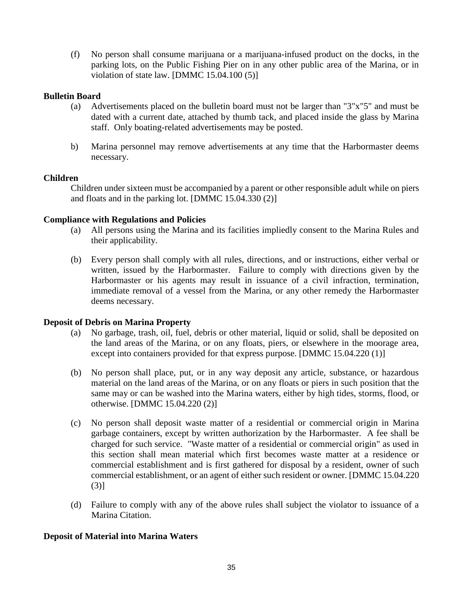(f) No person shall consume marijuana or a marijuana-infused product on the docks, in the parking lots, on the Public Fishing Pier on in any other public area of the Marina, or in violation of state law. [DMMC 15.04.100 (5)]

# **Bulletin Board**

- (a) Advertisements placed on the bulletin board must not be larger than "3"x"5" and must be dated with a current date, attached by thumb tack, and placed inside the glass by Marina staff. Only boating-related advertisements may be posted.
- b) Marina personnel may remove advertisements at any time that the Harbormaster deems necessary.

# **Children**

Children under sixteen must be accompanied by a parent or other responsible adult while on piers and floats and in the parking lot. [DMMC 15.04.330 (2)]

# **Compliance with Regulations and Policies**

- (a) All persons using the Marina and its facilities impliedly consent to the Marina Rules and their applicability.
- (b) Every person shall comply with all rules, directions, and or instructions, either verbal or written, issued by the Harbormaster. Failure to comply with directions given by the Harbormaster or his agents may result in issuance of a civil infraction, termination, immediate removal of a vessel from the Marina, or any other remedy the Harbormaster deems necessary.

## **Deposit of Debris on Marina Property**

- (a) No garbage, trash, oil, fuel, debris or other material, liquid or solid, shall be deposited on the land areas of the Marina, or on any floats, piers, or elsewhere in the moorage area, except into containers provided for that express purpose. [DMMC 15.04.220 (1)]
- (b) No person shall place, put, or in any way deposit any article, substance, or hazardous material on the land areas of the Marina, or on any floats or piers in such position that the same may or can be washed into the Marina waters, either by high tides, storms, flood, or otherwise. [DMMC 15.04.220 (2)]
- (c) No person shall deposit waste matter of a residential or commercial origin in Marina garbage containers, except by written authorization by the Harbormaster. A fee shall be charged for such service. "Waste matter of a residential or commercial origin" as used in this section shall mean material which first becomes waste matter at a residence or commercial establishment and is first gathered for disposal by a resident, owner of such commercial establishment, or an agent of either such resident or owner. [DMMC 15.04.220 (3)]
- (d) Failure to comply with any of the above rules shall subject the violator to issuance of a Marina Citation.

# **Deposit of Material into Marina Waters**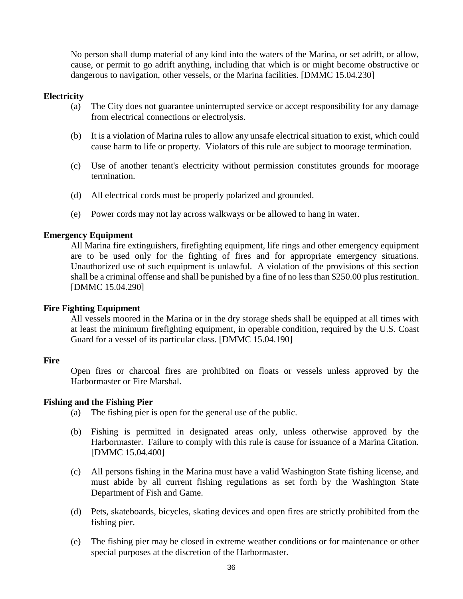No person shall dump material of any kind into the waters of the Marina, or set adrift, or allow, cause, or permit to go adrift anything, including that which is or might become obstructive or dangerous to navigation, other vessels, or the Marina facilities. [DMMC 15.04.230]

## **Electricity**

- (a) The City does not guarantee uninterrupted service or accept responsibility for any damage from electrical connections or electrolysis.
- (b) It is a violation of Marina rules to allow any unsafe electrical situation to exist, which could cause harm to life or property. Violators of this rule are subject to moorage termination.
- (c) Use of another tenant's electricity without permission constitutes grounds for moorage termination.
- (d) All electrical cords must be properly polarized and grounded.
- (e) Power cords may not lay across walkways or be allowed to hang in water.

## **Emergency Equipment**

All Marina fire extinguishers, firefighting equipment, life rings and other emergency equipment are to be used only for the fighting of fires and for appropriate emergency situations. Unauthorized use of such equipment is unlawful. A violation of the provisions of this section shall be a criminal offense and shall be punished by a fine of no less than \$250.00 plus restitution. [DMMC 15.04.290]

## **Fire Fighting Equipment**

All vessels moored in the Marina or in the dry storage sheds shall be equipped at all times with at least the minimum firefighting equipment, in operable condition, required by the U.S. Coast Guard for a vessel of its particular class. [DMMC 15.04.190]

## **Fire**

Open fires or charcoal fires are prohibited on floats or vessels unless approved by the Harbormaster or Fire Marshal.

## **Fishing and the Fishing Pier**

- (a) The fishing pier is open for the general use of the public.
- (b) Fishing is permitted in designated areas only, unless otherwise approved by the Harbormaster. Failure to comply with this rule is cause for issuance of a Marina Citation. [DMMC 15.04.400]
- (c) All persons fishing in the Marina must have a valid Washington State fishing license, and must abide by all current fishing regulations as set forth by the Washington State Department of Fish and Game.
- (d) Pets, skateboards, bicycles, skating devices and open fires are strictly prohibited from the fishing pier.
- (e) The fishing pier may be closed in extreme weather conditions or for maintenance or other special purposes at the discretion of the Harbormaster.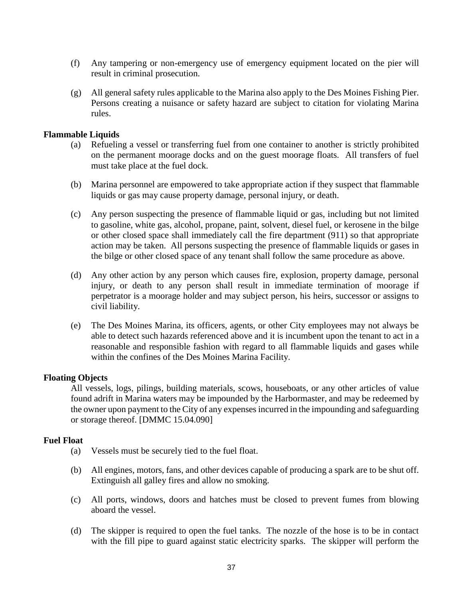- (f) Any tampering or non-emergency use of emergency equipment located on the pier will result in criminal prosecution.
- (g) All general safety rules applicable to the Marina also apply to the Des Moines Fishing Pier. Persons creating a nuisance or safety hazard are subject to citation for violating Marina rules.

## **Flammable Liquids**

- (a) Refueling a vessel or transferring fuel from one container to another is strictly prohibited on the permanent moorage docks and on the guest moorage floats. All transfers of fuel must take place at the fuel dock.
- (b) Marina personnel are empowered to take appropriate action if they suspect that flammable liquids or gas may cause property damage, personal injury, or death.
- (c) Any person suspecting the presence of flammable liquid or gas, including but not limited to gasoline, white gas, alcohol, propane, paint, solvent, diesel fuel, or kerosene in the bilge or other closed space shall immediately call the fire department (911) so that appropriate action may be taken. All persons suspecting the presence of flammable liquids or gases in the bilge or other closed space of any tenant shall follow the same procedure as above.
- (d) Any other action by any person which causes fire, explosion, property damage, personal injury, or death to any person shall result in immediate termination of moorage if perpetrator is a moorage holder and may subject person, his heirs, successor or assigns to civil liability.
- (e) The Des Moines Marina, its officers, agents, or other City employees may not always be able to detect such hazards referenced above and it is incumbent upon the tenant to act in a reasonable and responsible fashion with regard to all flammable liquids and gases while within the confines of the Des Moines Marina Facility.

## **Floating Objects**

All vessels, logs, pilings, building materials, scows, houseboats, or any other articles of value found adrift in Marina waters may be impounded by the Harbormaster, and may be redeemed by the owner upon payment to the City of any expenses incurred in the impounding and safeguarding or storage thereof. [DMMC 15.04.090]

#### **Fuel Float**

- (a) Vessels must be securely tied to the fuel float.
- (b) All engines, motors, fans, and other devices capable of producing a spark are to be shut off. Extinguish all galley fires and allow no smoking.
- (c) All ports, windows, doors and hatches must be closed to prevent fumes from blowing aboard the vessel.
- (d) The skipper is required to open the fuel tanks. The nozzle of the hose is to be in contact with the fill pipe to guard against static electricity sparks. The skipper will perform the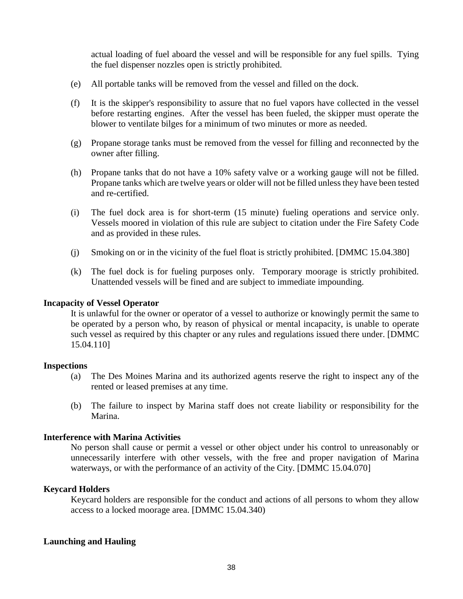actual loading of fuel aboard the vessel and will be responsible for any fuel spills. Tying the fuel dispenser nozzles open is strictly prohibited.

- (e) All portable tanks will be removed from the vessel and filled on the dock.
- (f) It is the skipper's responsibility to assure that no fuel vapors have collected in the vessel before restarting engines. After the vessel has been fueled, the skipper must operate the blower to ventilate bilges for a minimum of two minutes or more as needed.
- (g) Propane storage tanks must be removed from the vessel for filling and reconnected by the owner after filling.
- (h) Propane tanks that do not have a 10% safety valve or a working gauge will not be filled. Propane tanks which are twelve years or older will not be filled unless they have been tested and re-certified.
- (i) The fuel dock area is for short-term (15 minute) fueling operations and service only. Vessels moored in violation of this rule are subject to citation under the Fire Safety Code and as provided in these rules.
- (j) Smoking on or in the vicinity of the fuel float is strictly prohibited. [DMMC 15.04.380]
- (k) The fuel dock is for fueling purposes only. Temporary moorage is strictly prohibited. Unattended vessels will be fined and are subject to immediate impounding.

## **Incapacity of Vessel Operator**

It is unlawful for the owner or operator of a vessel to authorize or knowingly permit the same to be operated by a person who, by reason of physical or mental incapacity, is unable to operate such vessel as required by this chapter or any rules and regulations issued there under. [DMMC 15.04.110]

## **Inspections**

- (a) The Des Moines Marina and its authorized agents reserve the right to inspect any of the rented or leased premises at any time.
- (b) The failure to inspect by Marina staff does not create liability or responsibility for the Marina.

## **Interference with Marina Activities**

No person shall cause or permit a vessel or other object under his control to unreasonably or unnecessarily interfere with other vessels, with the free and proper navigation of Marina waterways, or with the performance of an activity of the City. [DMMC 15.04.070]

## **Keycard Holders**

Keycard holders are responsible for the conduct and actions of all persons to whom they allow access to a locked moorage area. [DMMC 15.04.340)

## **Launching and Hauling**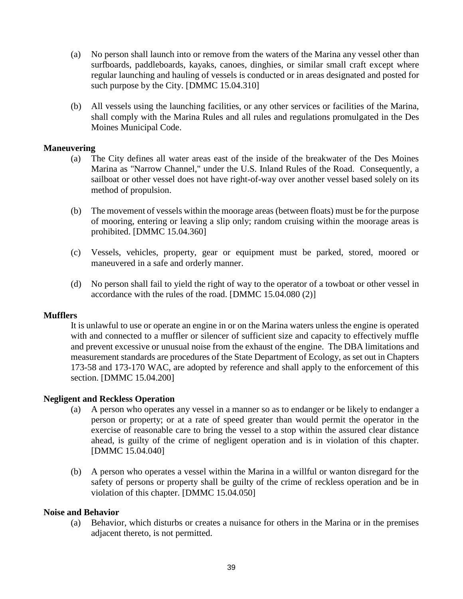- (a) No person shall launch into or remove from the waters of the Marina any vessel other than surfboards, paddleboards, kayaks, canoes, dinghies, or similar small craft except where regular launching and hauling of vessels is conducted or in areas designated and posted for such purpose by the City. [DMMC 15.04.310]
- (b) All vessels using the launching facilities, or any other services or facilities of the Marina, shall comply with the Marina Rules and all rules and regulations promulgated in the Des Moines Municipal Code.

## **Maneuvering**

- (a) The City defines all water areas east of the inside of the breakwater of the Des Moines Marina as "Narrow Channel," under the U.S. Inland Rules of the Road. Consequently, a sailboat or other vessel does not have right-of-way over another vessel based solely on its method of propulsion.
- (b) The movement of vessels within the moorage areas (between floats) must be for the purpose of mooring, entering or leaving a slip only; random cruising within the moorage areas is prohibited. [DMMC 15.04.360]
- (c) Vessels, vehicles, property, gear or equipment must be parked, stored, moored or maneuvered in a safe and orderly manner.
- (d) No person shall fail to yield the right of way to the operator of a towboat or other vessel in accordance with the rules of the road. [DMMC 15.04.080 (2)]

#### **Mufflers**

It is unlawful to use or operate an engine in or on the Marina waters unless the engine is operated with and connected to a muffler or silencer of sufficient size and capacity to effectively muffle and prevent excessive or unusual noise from the exhaust of the engine. The DBA limitations and measurement standards are procedures of the State Department of Ecology, as set out in Chapters 173-58 and 173-170 WAC, are adopted by reference and shall apply to the enforcement of this section. [DMMC 15.04.200]

#### **Negligent and Reckless Operation**

- (a) A person who operates any vessel in a manner so as to endanger or be likely to endanger a person or property; or at a rate of speed greater than would permit the operator in the exercise of reasonable care to bring the vessel to a stop within the assured clear distance ahead, is guilty of the crime of negligent operation and is in violation of this chapter. [DMMC 15.04.040]
- (b) A person who operates a vessel within the Marina in a willful or wanton disregard for the safety of persons or property shall be guilty of the crime of reckless operation and be in violation of this chapter. [DMMC 15.04.050]

### **Noise and Behavior**

(a) Behavior, which disturbs or creates a nuisance for others in the Marina or in the premises adjacent thereto, is not permitted.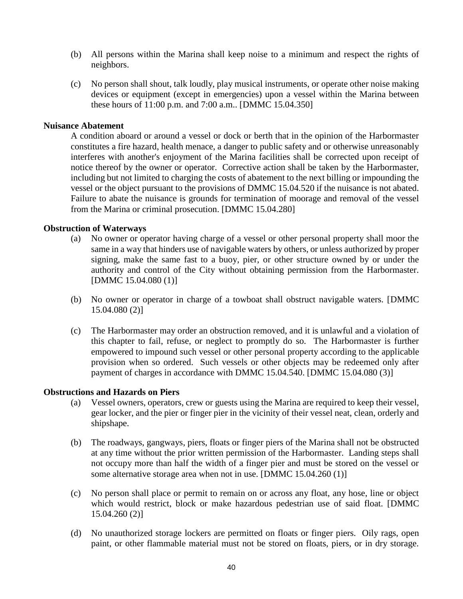- (b) All persons within the Marina shall keep noise to a minimum and respect the rights of neighbors.
- (c) No person shall shout, talk loudly, play musical instruments, or operate other noise making devices or equipment (except in emergencies) upon a vessel within the Marina between these hours of 11:00 p.m. and 7:00 a.m.. [DMMC 15.04.350]

### **Nuisance Abatement**

A condition aboard or around a vessel or dock or berth that in the opinion of the Harbormaster constitutes a fire hazard, health menace, a danger to public safety and or otherwise unreasonably interferes with another's enjoyment of the Marina facilities shall be corrected upon receipt of notice thereof by the owner or operator. Corrective action shall be taken by the Harbormaster, including but not limited to charging the costs of abatement to the next billing or impounding the vessel or the object pursuant to the provisions of DMMC 15.04.520 if the nuisance is not abated. Failure to abate the nuisance is grounds for termination of moorage and removal of the vessel from the Marina or criminal prosecution. [DMMC 15.04.280]

### **Obstruction of Waterways**

- (a) No owner or operator having charge of a vessel or other personal property shall moor the same in a way that hinders use of navigable waters by others, or unless authorized by proper signing, make the same fast to a buoy, pier, or other structure owned by or under the authority and control of the City without obtaining permission from the Harbormaster. [DMMC 15.04.080 (1)]
- (b) No owner or operator in charge of a towboat shall obstruct navigable waters. [DMMC 15.04.080 (2)]
- (c) The Harbormaster may order an obstruction removed, and it is unlawful and a violation of this chapter to fail, refuse, or neglect to promptly do so. The Harbormaster is further empowered to impound such vessel or other personal property according to the applicable provision when so ordered. Such vessels or other objects may be redeemed only after payment of charges in accordance with DMMC 15.04.540. [DMMC 15.04.080 (3)]

# **Obstructions and Hazards on Piers**

- (a) Vessel owners, operators, crew or guests using the Marina are required to keep their vessel, gear locker, and the pier or finger pier in the vicinity of their vessel neat, clean, orderly and shipshape.
- (b) The roadways, gangways, piers, floats or finger piers of the Marina shall not be obstructed at any time without the prior written permission of the Harbormaster. Landing steps shall not occupy more than half the width of a finger pier and must be stored on the vessel or some alternative storage area when not in use. [DMMC 15.04.260 (1)]
- (c) No person shall place or permit to remain on or across any float, any hose, line or object which would restrict, block or make hazardous pedestrian use of said float. [DMMC 15.04.260 (2)]
- (d) No unauthorized storage lockers are permitted on floats or finger piers. Oily rags, open paint, or other flammable material must not be stored on floats, piers, or in dry storage.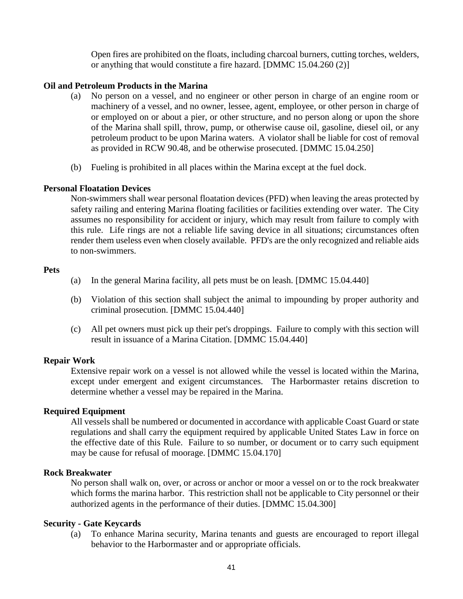Open fires are prohibited on the floats, including charcoal burners, cutting torches, welders, or anything that would constitute a fire hazard. [DMMC 15.04.260 (2)]

### **Oil and Petroleum Products in the Marina**

- (a) No person on a vessel, and no engineer or other person in charge of an engine room or machinery of a vessel, and no owner, lessee, agent, employee, or other person in charge of or employed on or about a pier, or other structure, and no person along or upon the shore of the Marina shall spill, throw, pump, or otherwise cause oil, gasoline, diesel oil, or any petroleum product to be upon Marina waters. A violator shall be liable for cost of removal as provided in RCW 90.48, and be otherwise prosecuted. [DMMC 15.04.250]
- (b) Fueling is prohibited in all places within the Marina except at the fuel dock.

### **Personal Floatation Devices**

Non-swimmers shall wear personal floatation devices (PFD) when leaving the areas protected by safety railing and entering Marina floating facilities or facilities extending over water. The City assumes no responsibility for accident or injury, which may result from failure to comply with this rule. Life rings are not a reliable life saving device in all situations; circumstances often render them useless even when closely available. PFD's are the only recognized and reliable aids to non-swimmers.

### **Pets**

- (a) In the general Marina facility, all pets must be on leash. [DMMC 15.04.440]
- (b) Violation of this section shall subject the animal to impounding by proper authority and criminal prosecution. [DMMC 15.04.440]
- (c) All pet owners must pick up their pet's droppings. Failure to comply with this section will result in issuance of a Marina Citation. [DMMC 15.04.440]

## **Repair Work**

Extensive repair work on a vessel is not allowed while the vessel is located within the Marina, except under emergent and exigent circumstances. The Harbormaster retains discretion to determine whether a vessel may be repaired in the Marina.

### **Required Equipment**

All vessels shall be numbered or documented in accordance with applicable Coast Guard or state regulations and shall carry the equipment required by applicable United States Law in force on the effective date of this Rule. Failure to so number, or document or to carry such equipment may be cause for refusal of moorage. [DMMC 15.04.170]

#### **Rock Breakwater**

No person shall walk on, over, or across or anchor or moor a vessel on or to the rock breakwater which forms the marina harbor. This restriction shall not be applicable to City personnel or their authorized agents in the performance of their duties. [DMMC 15.04.300]

### **Security - Gate Keycards**

(a) To enhance Marina security, Marina tenants and guests are encouraged to report illegal behavior to the Harbormaster and or appropriate officials.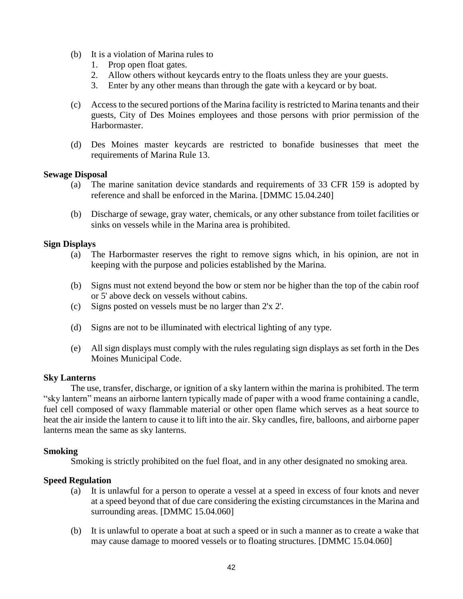- (b) It is a violation of Marina rules to
	- 1. Prop open float gates.
	- 2. Allow others without keycards entry to the floats unless they are your guests.
	- 3. Enter by any other means than through the gate with a keycard or by boat.
- (c) Access to the secured portions of the Marina facility is restricted to Marina tenants and their guests, City of Des Moines employees and those persons with prior permission of the Harbormaster.
- (d) Des Moines master keycards are restricted to bonafide businesses that meet the requirements of Marina Rule 13.

### **Sewage Disposal**

- (a) The marine sanitation device standards and requirements of 33 CFR 159 is adopted by reference and shall be enforced in the Marina. [DMMC 15.04.240]
- (b) Discharge of sewage, gray water, chemicals, or any other substance from toilet facilities or sinks on vessels while in the Marina area is prohibited.

## **Sign Displays**

- (a) The Harbormaster reserves the right to remove signs which, in his opinion, are not in keeping with the purpose and policies established by the Marina.
- (b) Signs must not extend beyond the bow or stem nor be higher than the top of the cabin roof or 5' above deck on vessels without cabins.
- (c) Signs posted on vessels must be no larger than 2'x 2'.
- (d) Signs are not to be illuminated with electrical lighting of any type.
- (e) All sign displays must comply with the rules regulating sign displays as set forth in the Des Moines Municipal Code.

#### **Sky Lanterns**

The use, transfer, discharge, or ignition of a sky lantern within the marina is prohibited. The term "sky lantern" means an airborne lantern typically made of paper with a wood frame containing a candle, fuel cell composed of waxy flammable material or other open flame which serves as a heat source to heat the air inside the lantern to cause it to lift into the air. Sky candles, fire, balloons, and airborne paper lanterns mean the same as sky lanterns.

### **Smoking**

Smoking is strictly prohibited on the fuel float, and in any other designated no smoking area.

## **Speed Regulation**

- (a) It is unlawful for a person to operate a vessel at a speed in excess of four knots and never at a speed beyond that of due care considering the existing circumstances in the Marina and surrounding areas. [DMMC 15.04.060]
- (b) It is unlawful to operate a boat at such a speed or in such a manner as to create a wake that may cause damage to moored vessels or to floating structures. [DMMC 15.04.060]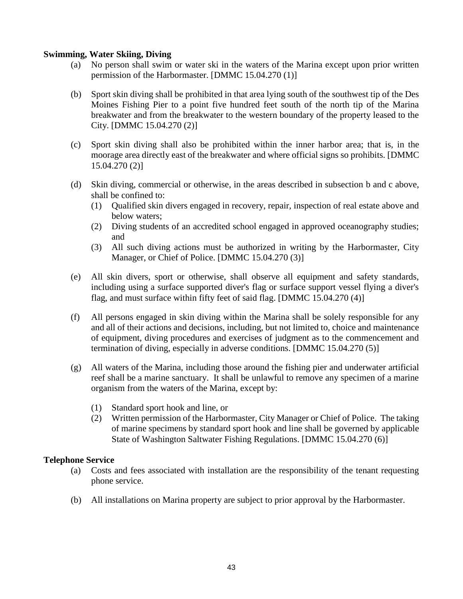# **Swimming, Water Skiing, Diving**

- (a) No person shall swim or water ski in the waters of the Marina except upon prior written permission of the Harbormaster. [DMMC 15.04.270 (1)]
- (b) Sport skin diving shall be prohibited in that area lying south of the southwest tip of the Des Moines Fishing Pier to a point five hundred feet south of the north tip of the Marina breakwater and from the breakwater to the western boundary of the property leased to the City. [DMMC 15.04.270 (2)]
- (c) Sport skin diving shall also be prohibited within the inner harbor area; that is, in the moorage area directly east of the breakwater and where official signs so prohibits. [DMMC 15.04.270 (2)]
- (d) Skin diving, commercial or otherwise, in the areas described in subsection b and c above, shall be confined to:
	- (1) Qualified skin divers engaged in recovery, repair, inspection of real estate above and below waters;
	- (2) Diving students of an accredited school engaged in approved oceanography studies; and
	- (3) All such diving actions must be authorized in writing by the Harbormaster, City Manager, or Chief of Police. [DMMC 15.04.270 (3)]
- (e) All skin divers, sport or otherwise, shall observe all equipment and safety standards, including using a surface supported diver's flag or surface support vessel flying a diver's flag, and must surface within fifty feet of said flag. [DMMC 15.04.270 (4)]
- (f) All persons engaged in skin diving within the Marina shall be solely responsible for any and all of their actions and decisions, including, but not limited to, choice and maintenance of equipment, diving procedures and exercises of judgment as to the commencement and termination of diving, especially in adverse conditions. [DMMC 15.04.270 (5)]
- (g) All waters of the Marina, including those around the fishing pier and underwater artificial reef shall be a marine sanctuary. It shall be unlawful to remove any specimen of a marine organism from the waters of the Marina, except by:
	- (1) Standard sport hook and line, or
	- (2) Written permission of the Harbormaster, City Manager or Chief of Police. The taking of marine specimens by standard sport hook and line shall be governed by applicable State of Washington Saltwater Fishing Regulations. [DMMC 15.04.270 (6)]

## **Telephone Service**

- (a) Costs and fees associated with installation are the responsibility of the tenant requesting phone service.
- (b) All installations on Marina property are subject to prior approval by the Harbormaster.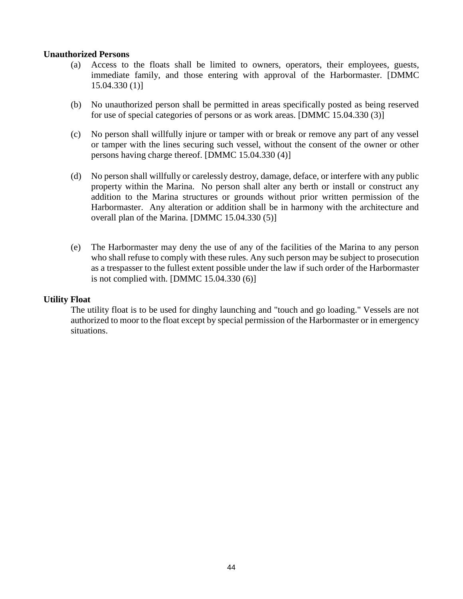# **Unauthorized Persons**

- (a) Access to the floats shall be limited to owners, operators, their employees, guests, immediate family, and those entering with approval of the Harbormaster. [DMMC 15.04.330 (1)]
- (b) No unauthorized person shall be permitted in areas specifically posted as being reserved for use of special categories of persons or as work areas. [DMMC 15.04.330 (3)]
- (c) No person shall willfully injure or tamper with or break or remove any part of any vessel or tamper with the lines securing such vessel, without the consent of the owner or other persons having charge thereof. [DMMC 15.04.330 (4)]
- (d) No person shall willfully or carelessly destroy, damage, deface, or interfere with any public property within the Marina. No person shall alter any berth or install or construct any addition to the Marina structures or grounds without prior written permission of the Harbormaster. Any alteration or addition shall be in harmony with the architecture and overall plan of the Marina. [DMMC 15.04.330 (5)]
- (e) The Harbormaster may deny the use of any of the facilities of the Marina to any person who shall refuse to comply with these rules. Any such person may be subject to prosecution as a trespasser to the fullest extent possible under the law if such order of the Harbormaster is not complied with. [DMMC 15.04.330 (6)]

## **Utility Float**

The utility float is to be used for dinghy launching and "touch and go loading." Vessels are not authorized to moor to the float except by special permission of the Harbormaster or in emergency situations.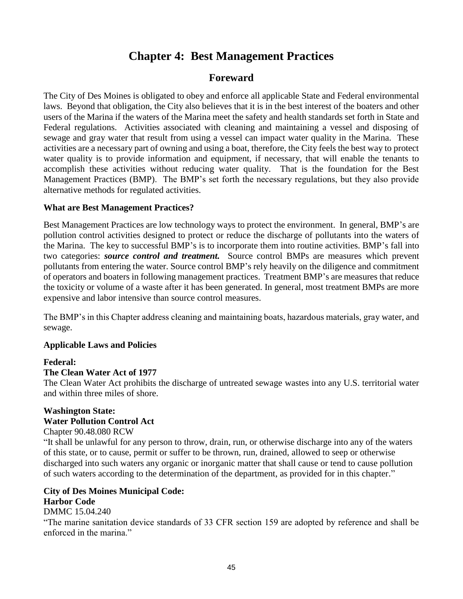# **Chapter 4: Best Management Practices**

# **Foreward**

The City of Des Moines is obligated to obey and enforce all applicable State and Federal environmental laws. Beyond that obligation, the City also believes that it is in the best interest of the boaters and other users of the Marina if the waters of the Marina meet the safety and health standards set forth in State and Federal regulations. Activities associated with cleaning and maintaining a vessel and disposing of sewage and gray water that result from using a vessel can impact water quality in the Marina. These activities are a necessary part of owning and using a boat, therefore, the City feels the best way to protect water quality is to provide information and equipment, if necessary, that will enable the tenants to accomplish these activities without reducing water quality. That is the foundation for the Best Management Practices (BMP). The BMP's set forth the necessary regulations, but they also provide alternative methods for regulated activities.

# **What are Best Management Practices?**

Best Management Practices are low technology ways to protect the environment. In general, BMP's are pollution control activities designed to protect or reduce the discharge of pollutants into the waters of the Marina. The key to successful BMP's is to incorporate them into routine activities. BMP's fall into two categories: *source control and treatment.* Source control BMPs are measures which prevent pollutants from entering the water. Source control BMP's rely heavily on the diligence and commitment of operators and boaters in following management practices. Treatment BMP's are measures that reduce the toxicity or volume of a waste after it has been generated. In general, most treatment BMPs are more expensive and labor intensive than source control measures.

The BMP's in this Chapter address cleaning and maintaining boats, hazardous materials, gray water, and sewage.

# **Applicable Laws and Policies**

# **Federal:**

## **The Clean Water Act of 1977**

The Clean Water Act prohibits the discharge of untreated sewage wastes into any U.S. territorial water and within three miles of shore.

# **Washington State: Water Pollution Control Act**

Chapter 90.48.080 RCW

"It shall be unlawful for any person to throw, drain, run, or otherwise discharge into any of the waters of this state, or to cause, permit or suffer to be thrown, run, drained, allowed to seep or otherwise discharged into such waters any organic or inorganic matter that shall cause or tend to cause pollution of such waters according to the determination of the department, as provided for in this chapter."

# **City of Des Moines Municipal Code: Harbor Code**

# DMMC 15.04.240

"The marine sanitation device standards of 33 CFR section 159 are adopted by reference and shall be enforced in the marina."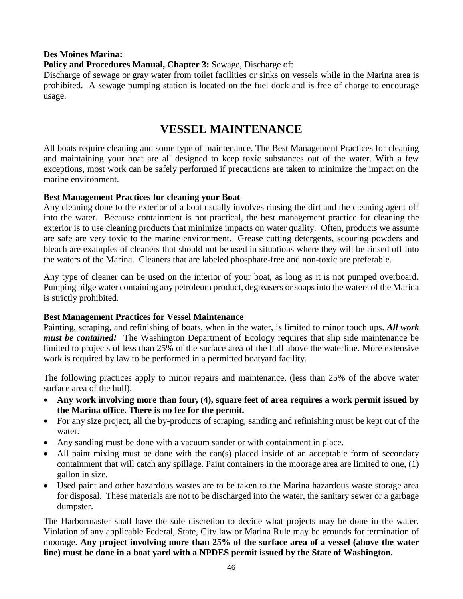# **Des Moines Marina:**

**Policy and Procedures Manual, Chapter 3:** Sewage, Discharge of:

Discharge of sewage or gray water from toilet facilities or sinks on vessels while in the Marina area is prohibited. A sewage pumping station is located on the fuel dock and is free of charge to encourage usage.

# **VESSEL MAINTENANCE**

All boats require cleaning and some type of maintenance. The Best Management Practices for cleaning and maintaining your boat are all designed to keep toxic substances out of the water. With a few exceptions, most work can be safely performed if precautions are taken to minimize the impact on the marine environment.

## **Best Management Practices for cleaning your Boat**

Any cleaning done to the exterior of a boat usually involves rinsing the dirt and the cleaning agent off into the water. Because containment is not practical, the best management practice for cleaning the exterior is to use cleaning products that minimize impacts on water quality. Often, products we assume are safe are very toxic to the marine environment. Grease cutting detergents, scouring powders and bleach are examples of cleaners that should not be used in situations where they will be rinsed off into the waters of the Marina. Cleaners that are labeled phosphate-free and non-toxic are preferable.

Any type of cleaner can be used on the interior of your boat, as long as it is not pumped overboard. Pumping bilge water containing any petroleum product, degreasers or soaps into the waters of the Marina is strictly prohibited.

## **Best Management Practices for Vessel Maintenance**

Painting, scraping, and refinishing of boats, when in the water, is limited to minor touch ups. *All work must be contained!* The Washington Department of Ecology requires that slip side maintenance be limited to projects of less than 25% of the surface area of the hull above the waterline. More extensive work is required by law to be performed in a permitted boatyard facility.

The following practices apply to minor repairs and maintenance, (less than 25% of the above water surface area of the hull).

- **Any work involving more than four, (4), square feet of area requires a work permit issued by the Marina office. There is no fee for the permit.**
- For any size project, all the by-products of scraping, sanding and refinishing must be kept out of the water.
- Any sanding must be done with a vacuum sander or with containment in place.
- All paint mixing must be done with the can(s) placed inside of an acceptable form of secondary containment that will catch any spillage. Paint containers in the moorage area are limited to one, (1) gallon in size.
- Used paint and other hazardous wastes are to be taken to the Marina hazardous waste storage area for disposal. These materials are not to be discharged into the water, the sanitary sewer or a garbage dumpster.

The Harbormaster shall have the sole discretion to decide what projects may be done in the water. Violation of any applicable Federal, State, City law or Marina Rule may be grounds for termination of moorage. **Any project involving more than 25% of the surface area of a vessel (above the water line) must be done in a boat yard with a NPDES permit issued by the State of Washington.**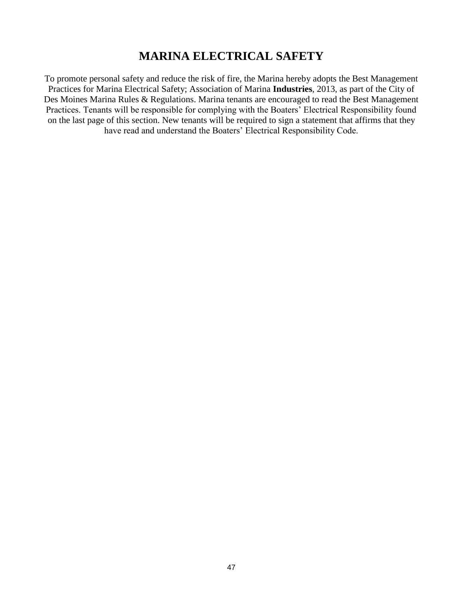# **MARINA ELECTRICAL SAFETY**

To promote personal safety and reduce the risk of fire, the Marina hereby adopts the Best Management Practices for Marina Electrical Safety; Association of Marina **Industries**, 2013, as part of the City of Des Moines Marina Rules & Regulations. Marina tenants are encouraged to read the Best Management Practices. Tenants will be responsible for complying with the Boaters' Electrical Responsibility found on the last page of this section. New tenants will be required to sign a statement that affirms that they have read and understand the Boaters' Electrical Responsibility Code.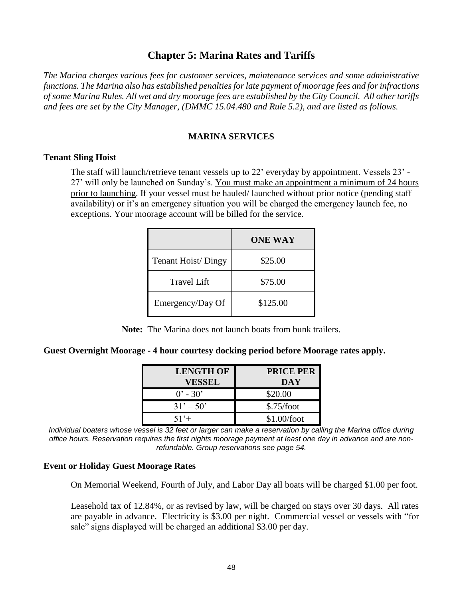# **Chapter 5: Marina Rates and Tariffs**

*The Marina charges various fees for customer services, maintenance services and some administrative functions. The Marina also has established penalties for late payment of moorage fees and for infractions of some Marina Rules. All wet and dry moorage fees are established by the City Council. All other tariffs and fees are set by the City Manager, (DMMC 15.04.480 and Rule 5.2), and are listed as follows.*

# **MARINA SERVICES**

## **Tenant Sling Hoist**

The staff will launch/retrieve tenant vessels up to 22' everyday by appointment. Vessels 23' - 27' will only be launched on Sunday's. You must make an appointment a minimum of 24 hours prior to launching. If your vessel must be hauled/ launched without prior notice (pending staff availability) or it's an emergency situation you will be charged the emergency launch fee, no exceptions. Your moorage account will be billed for the service.

|                    | <b>ONE WAY</b> |
|--------------------|----------------|
| Tenant Hoist/Dingy | \$25.00        |
| <b>Travel Lift</b> | \$75.00        |
| Emergency/Day Of   | \$125.00       |

**Note:** The Marina does not launch boats from bunk trailers.

**Guest Overnight Moorage - 4 hour courtesy docking period before Moorage rates apply.**

| <b>LENGTH OF</b><br><b>VESSEL</b> | <b>PRICE PER</b><br>DAY |
|-----------------------------------|-------------------------|
| $0'$ - 30'                        | \$20.00                 |
| $31' - 50'$                       | \$.75/foot              |
| $51' +$                           | \$1.00/foot             |

*Individual boaters whose vessel is 32 feet or larger can make a reservation by calling the Marina office during office hours. Reservation requires the first nights moorage payment at least one day in advance and are nonrefundable. Group reservations see page 54.*

## **Event or Holiday Guest Moorage Rates**

On Memorial Weekend, Fourth of July, and Labor Day all boats will be charged \$1.00 per foot.

Leasehold tax of 12.84%, or as revised by law, will be charged on stays over 30 days. All rates are payable in advance. Electricity is \$3.00 per night. Commercial vessel or vessels with "for sale" signs displayed will be charged an additional \$3.00 per day.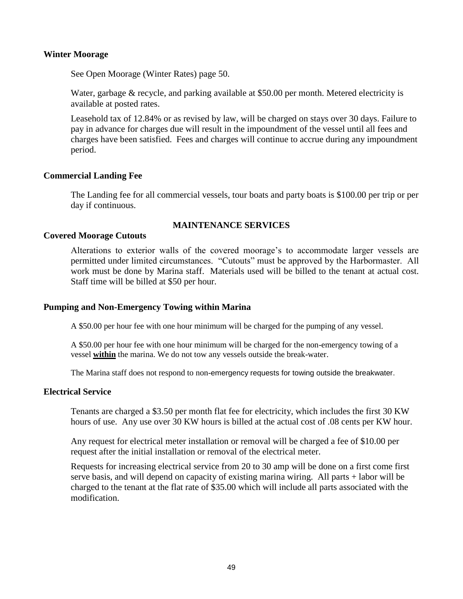## **Winter Moorage**

See Open Moorage (Winter Rates) page 50.

Water, garbage & recycle, and parking available at \$50.00 per month. Metered electricity is available at posted rates.

Leasehold tax of 12.84% or as revised by law, will be charged on stays over 30 days. Failure to pay in advance for charges due will result in the impoundment of the vessel until all fees and charges have been satisfied. Fees and charges will continue to accrue during any impoundment period.

### **Commercial Landing Fee**

The Landing fee for all commercial vessels, tour boats and party boats is \$100.00 per trip or per day if continuous.

# **MAINTENANCE SERVICES**

### **Covered Moorage Cutouts**

Alterations to exterior walls of the covered moorage's to accommodate larger vessels are permitted under limited circumstances. "Cutouts" must be approved by the Harbormaster. All work must be done by Marina staff. Materials used will be billed to the tenant at actual cost. Staff time will be billed at \$50 per hour.

#### **Pumping and Non-Emergency Towing within Marina**

A \$50.00 per hour fee with one hour minimum will be charged for the pumping of any vessel.

A \$50.00 per hour fee with one hour minimum will be charged for the non-emergency towing of a vessel **within** the marina. We do not tow any vessels outside the break-water.

The Marina staff does not respond to non-emergency requests for towing outside the breakwater.

### **Electrical Service**

Tenants are charged a \$3.50 per month flat fee for electricity, which includes the first 30 KW hours of use. Any use over 30 KW hours is billed at the actual cost of .08 cents per KW hour.

Any request for electrical meter installation or removal will be charged a fee of \$10.00 per request after the initial installation or removal of the electrical meter.

Requests for increasing electrical service from 20 to 30 amp will be done on a first come first serve basis, and will depend on capacity of existing marina wiring. All parts + labor will be charged to the tenant at the flat rate of \$35.00 which will include all parts associated with the modification.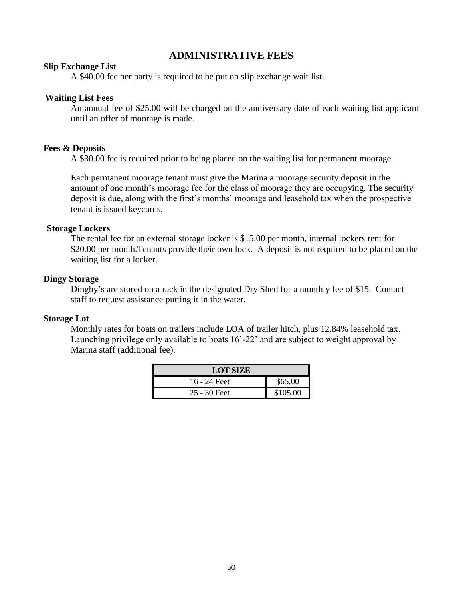# **ADMINISTRATIVE FEES**

### **Slip Exchange List**

A \$40.00 fee per party is required to be put on slip exchange wait list.

### **Waiting List Fees**

An annual fee of \$25.00 will be charged on the anniversary date of each waiting list applicant until an offer of moorage is made.

# **Fees & Deposits**

A \$30.00 fee is required prior to being placed on the waiting list for permanent moorage.

Each permanent moorage tenant must give the Marina a moorage security deposit in the amount of one month's moorage fee for the class of moorage they are occupying. The security deposit is due, along with the first's months' moorage and leasehold tax when the prospective tenant is issued keycards.

### **Storage Lockers**

The rental fee for an external storage locker is \$15.00 per month, internal lockers rent for \$20.00 per month. Tenants provide their own lock. A deposit is not required to be placed on the waiting list for a locker.

## **Dingy Storage**

Dinghy's are stored on a rack in the designated Dry Shed for a monthly fee of \$15. Contact staff to request assistance putting it in the water.

## **Storage Lot**

Monthly rates for boats on trailers include LOA of trailer hitch, plus 12.84% leasehold tax. Launching privilege only available to boats 16'-22' and are subject to weight approval by Marina staff (additional fee).

| <b>LOT SIZE</b> |          |  |  |
|-----------------|----------|--|--|
| 16 - 24 Feet    | \$65.00  |  |  |
| $25 - 30$ Feet  | \$105.00 |  |  |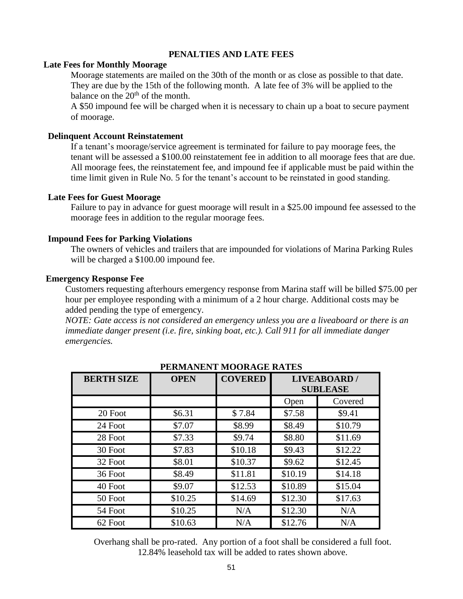## **PENALTIES AND LATE FEES**

#### **Late Fees for Monthly Moorage**

Moorage statements are mailed on the 30th of the month or as close as possible to that date. They are due by the 15th of the following month. A late fee of 3% will be applied to the balance on the  $20<sup>th</sup>$  of the month.

A \$50 impound fee will be charged when it is necessary to chain up a boat to secure payment of moorage.

#### **Delinquent Account Reinstatement**

If a tenant's moorage/service agreement is terminated for failure to pay moorage fees, the tenant will be assessed a \$100.00 reinstatement fee in addition to all moorage fees that are due. All moorage fees, the reinstatement fee, and impound fee if applicable must be paid within the time limit given in Rule No. 5 for the tenant's account to be reinstated in good standing.

#### **Late Fees for Guest Moorage**

Failure to pay in advance for guest moorage will result in a \$25.00 impound fee assessed to the moorage fees in addition to the regular moorage fees.

#### **Impound Fees for Parking Violations**

The owners of vehicles and trailers that are impounded for violations of Marina Parking Rules will be charged a \$100.00 impound fee.

#### **Emergency Response Fee**

Customers requesting afterhours emergency response from Marina staff will be billed \$75.00 per hour per employee responding with a minimum of a 2 hour charge. Additional costs may be added pending the type of emergency.

*NOTE: Gate access is not considered an emergency unless you are a liveaboard or there is an immediate danger present (i.e. fire, sinking boat, etc.). Call 911 for all immediate danger emergencies.*

| 1 BRW. 11 11 12 11 12 0 R. 10 B. R. 11 1 B. |             |                |                                       |         |
|---------------------------------------------|-------------|----------------|---------------------------------------|---------|
| <b>BERTH SIZE</b>                           | <b>OPEN</b> | <b>COVERED</b> | <b>LIVEABOARD/</b><br><b>SUBLEASE</b> |         |
|                                             |             |                | Open                                  | Covered |
| 20 Foot                                     | \$6.31      | \$7.84         | \$7.58                                | \$9.41  |
| 24 Foot                                     | \$7.07      | \$8.99         | \$8.49                                | \$10.79 |
| 28 Foot                                     | \$7.33      | \$9.74         | \$8.80                                | \$11.69 |
| 30 Foot                                     | \$7.83      | \$10.18        | \$9.43                                | \$12.22 |
| 32 Foot                                     | \$8.01      | \$10.37        | \$9.62                                | \$12.45 |
| 36 Foot                                     | \$8.49      | \$11.81        | \$10.19                               | \$14.18 |
| 40 Foot                                     | \$9.07      | \$12.53        | \$10.89                               | \$15.04 |
| 50 Foot                                     | \$10.25     | \$14.69        | \$12.30                               | \$17.63 |
| 54 Foot                                     | \$10.25     | N/A            | \$12.30                               | N/A     |
| 62 Foot                                     | \$10.63     | N/A            | \$12.76                               | N/A     |

### **PERMANENT MOORAGE RATES**

Overhang shall be pro-rated. Any portion of a foot shall be considered a full foot. 12.84% leasehold tax will be added to rates shown above.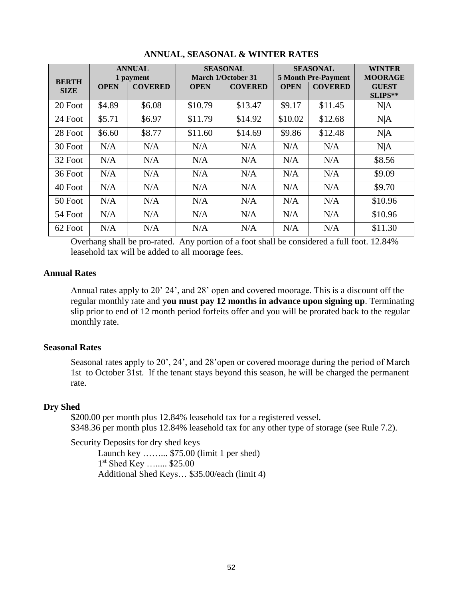|                             | <b>ANNUAL</b> |                             | <b>SEASONAL</b><br><b>March 1/October 31</b> |                | <b>SEASONAL</b><br><b>5 Month Pre-Payment</b> |                | <b>WINTER</b>                             |
|-----------------------------|---------------|-----------------------------|----------------------------------------------|----------------|-----------------------------------------------|----------------|-------------------------------------------|
| <b>BERTH</b><br><b>SIZE</b> | <b>OPEN</b>   | 1 payment<br><b>COVERED</b> | <b>OPEN</b>                                  | <b>COVERED</b> | <b>OPEN</b>                                   | <b>COVERED</b> | <b>MOORAGE</b><br><b>GUEST</b><br>SLIPS** |
| 20 Foot                     | \$4.89        | \$6.08                      | \$10.79                                      | \$13.47        | \$9.17                                        | \$11.45        | N A                                       |
| 24 Foot                     | \$5.71        | \$6.97                      | \$11.79                                      | \$14.92        | \$10.02                                       | \$12.68        | N A                                       |
| 28 Foot                     | \$6.60        | \$8.77                      | \$11.60                                      | \$14.69        | \$9.86                                        | \$12.48        | N A                                       |
| 30 Foot                     | N/A           | N/A                         | N/A                                          | N/A            | N/A                                           | N/A            | N A                                       |
| 32 Foot                     | N/A           | N/A                         | N/A                                          | N/A            | N/A                                           | N/A            | \$8.56                                    |
| 36 Foot                     | N/A           | N/A                         | N/A                                          | N/A            | N/A                                           | N/A            | \$9.09                                    |
| 40 Foot                     | N/A           | N/A                         | N/A                                          | N/A            | N/A                                           | N/A            | \$9.70                                    |
| 50 Foot                     | N/A           | N/A                         | N/A                                          | N/A            | N/A                                           | N/A            | \$10.96                                   |
| 54 Foot                     | N/A           | N/A                         | N/A                                          | N/A            | N/A                                           | N/A            | \$10.96                                   |
| 62 Foot                     | N/A           | N/A                         | N/A                                          | N/A            | N/A                                           | N/A            | \$11.30                                   |

# **ANNUAL, SEASONAL & WINTER RATES**

Overhang shall be pro-rated. Any portion of a foot shall be considered a full foot. 12.84% leasehold tax will be added to all moorage fees.

### **Annual Rates**

Annual rates apply to 20' 24', and 28' open and covered moorage. This is a discount off the regular monthly rate and y**ou must pay 12 months in advance upon signing up**. Terminating slip prior to end of 12 month period forfeits offer and you will be prorated back to the regular monthly rate.

## **Seasonal Rates**

Seasonal rates apply to 20', 24', and 28'open or covered moorage during the period of March 1st to October 31st. If the tenant stays beyond this season, he will be charged the permanent rate.

## **Dry Shed**

\$200.00 per month plus 12.84% leasehold tax for a registered vessel. \$348.36 per month plus 12.84% leasehold tax for any other type of storage (see Rule 7.2).

Security Deposits for dry shed keys

Launch key ……... \$75.00 (limit 1 per shed) 1 st Shed Key …..... \$25.00 Additional Shed Keys… \$35.00/each (limit 4)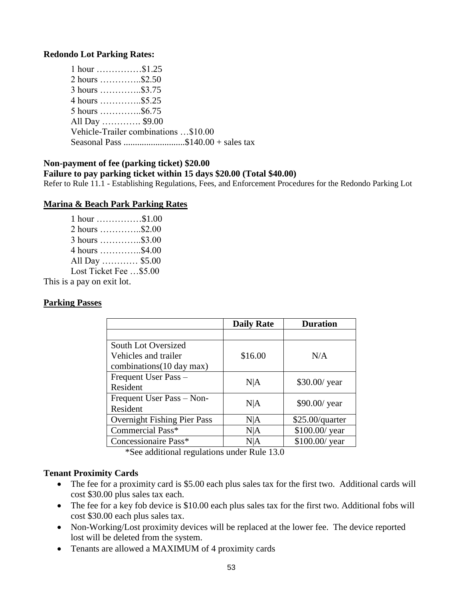### **Redondo Lot Parking Rates:**

| $1$ hour \$1.25                      |                                    |
|--------------------------------------|------------------------------------|
| 2 hours \$2.50                       |                                    |
| 3 hours \$3.75                       |                                    |
| 4 hours \$5.25                       |                                    |
| 5 hours \$6.75                       |                                    |
| All Day \$9.00                       |                                    |
| Vehicle-Trailer combinations \$10.00 |                                    |
|                                      | Seasonal Pass \$140.00 + sales tax |

### **Non-payment of fee (parking ticket) \$20.00**

### **Failure to pay parking ticket within 15 days \$20.00 (Total \$40.00)**

Refer to Rule 11.1 - Establishing Regulations, Fees, and Enforcement Procedures for the Redondo Parking Lot

#### **Marina & Beach Park Parking Rates**

| $1$ hour $\dots\dots\dots\dots\dots$ \$1.00 |  |
|---------------------------------------------|--|
| 2 hours \$2.00                              |  |
| $3 \text{ hours}$ \$3.00                    |  |
| 4 hours \$4.00                              |  |
| All Day  \$5.00                             |  |
| Lost Ticket Fee \$5.00                      |  |
|                                             |  |

This is a pay on exit lot.

### **Parking Passes**

|                                    | <b>Daily Rate</b> | <b>Duration</b> |  |
|------------------------------------|-------------------|-----------------|--|
|                                    |                   |                 |  |
| South Lot Oversized                |                   |                 |  |
| Vehicles and trailer               | \$16.00           | N/A             |  |
| combinations (10 day max)          |                   |                 |  |
| Frequent User Pass -               | N A               | \$30.00/ year   |  |
| Resident                           |                   |                 |  |
| Frequent User Pass - Non-          | N A               | \$90.00/ year   |  |
| Resident                           |                   |                 |  |
| <b>Overnight Fishing Pier Pass</b> | N A               | \$25.00/quarter |  |
| Commercial Pass*                   | N A               | \$100.00/ year  |  |
| Concessionaire Pass*               | N A               | \$100.00/ year  |  |

\*See additional regulations under Rule 13.0

#### **Tenant Proximity Cards**

- The fee for a proximity card is \$5.00 each plus sales tax for the first two. Additional cards will cost \$30.00 plus sales tax each.
- The fee for a key fob device is \$10.00 each plus sales tax for the first two. Additional fobs will cost \$30.00 each plus sales tax.
- Non-Working/Lost proximity devices will be replaced at the lower fee. The device reported lost will be deleted from the system.
- Tenants are allowed a MAXIMUM of 4 proximity cards